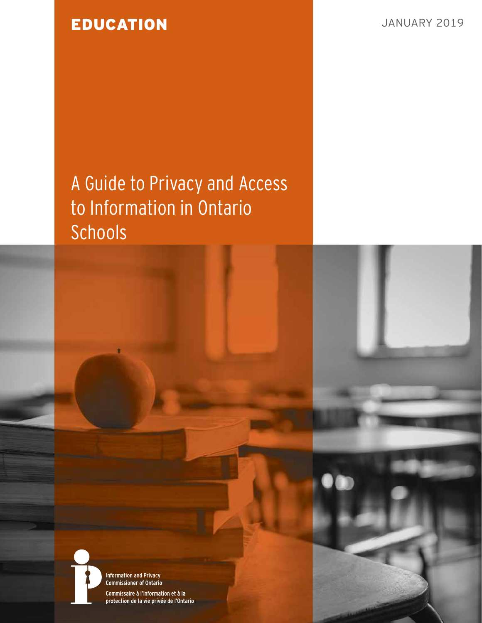## EDUCATION JANUARY 2019

# A Guide to Privacy and Access to Information in Ontario Schools



**Information and Privacy** Commissioner of Ontario Commissaire à l'information et à la protection de la vie privée de l'Ontario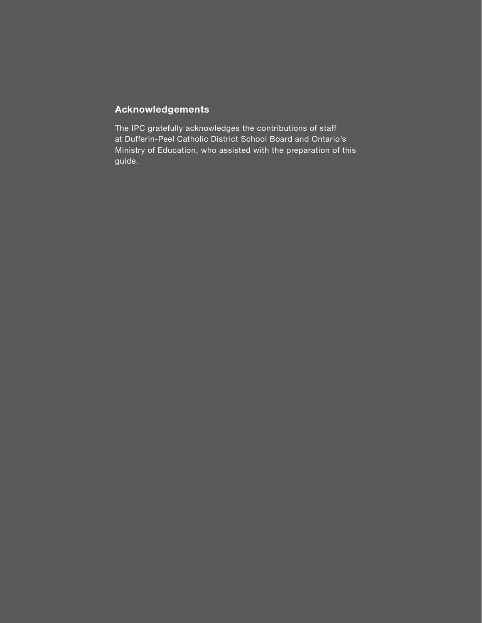## **Acknowledgements**

The IPC gratefully acknowledges the contributions of staff at Dufferin-Peel Catholic District School Board and Ontario's Ministry of Education, who assisted with the preparation of this guide.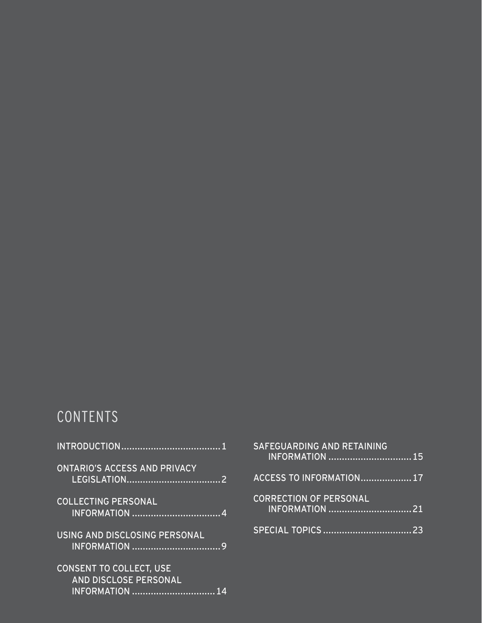# CONTENTS

| <b>ONTARIO'S ACCESS AND PRIVACY</b>                                              |
|----------------------------------------------------------------------------------|
| <b>COLLECTING PERSONAL</b>                                                       |
| USING AND DISCLOSING PERSONAL                                                    |
| <b>CONSENT TO COLLECT, USE</b><br>AND DISCLOSE PERSONAL<br><b>INFORMATION</b> 14 |

| SAFEGUARDING AND RETAINING    |  |
|-------------------------------|--|
| ACCESS TO INFORMATION 17      |  |
| <b>CORRECTION OF PERSONAL</b> |  |
| SPECIAL TOPICS <del></del> 23 |  |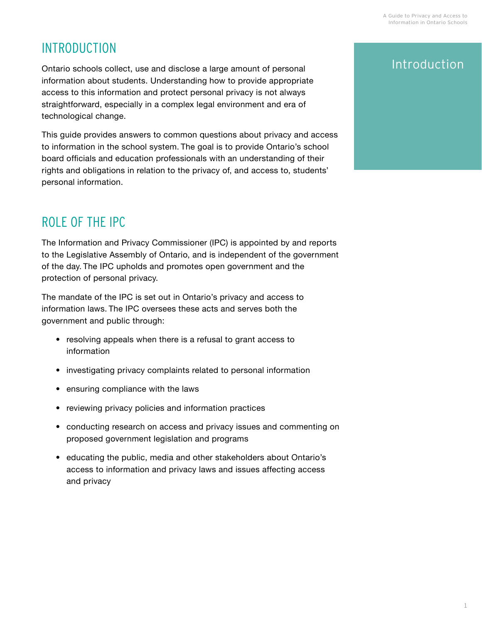## <span id="page-4-0"></span>INTRODUCTION

Ontario schools collect, use and disclose a large amount of personal information about students. Understanding how to provide appropriate access to this information and protect personal privacy is not always straightforward, especially in a complex legal environment and era of technological change.

This guide provides answers to common questions about privacy and access to information in the school system. The goal is to provide Ontario's school board officials and education professionals with an understanding of their rights and obligations in relation to the privacy of, and access to, students' personal information.

## ROLE OF THE IPC

The Information and Privacy Commissioner (IPC) is appointed by and reports to the Legislative Assembly of Ontario, and is independent of the government of the day. The IPC upholds and promotes open government and the protection of personal privacy.

The mandate of the IPC is set out in Ontario's privacy and access to information laws. The IPC oversees these acts and serves both the government and public through:

- resolving appeals when there is a refusal to grant access to information
- investigating privacy complaints related to personal information
- ensuring compliance with the laws
- reviewing privacy policies and information practices
- conducting research on access and privacy issues and commenting on proposed government legislation and programs
- educating the public, media and other stakeholders about Ontario's access to information and privacy laws and issues affecting access and privacy

## Introduction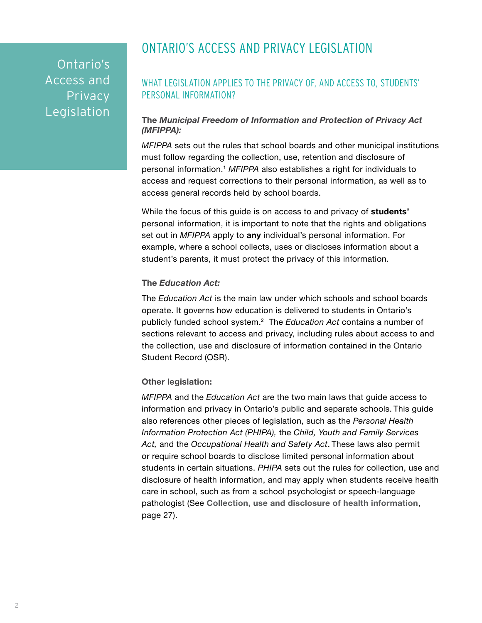## <span id="page-5-0"></span>Ontario's Access and Privacy Legislation

## ONTARIO'S ACCESS AND PRIVACY LEGISLATION

### WHAT LEGISLATION APPLIES TO THE PRIVACY OF, AND ACCESS TO, STUDENTS' PERSONAL INFORMATION?

#### **The** *Municipal Freedom of Information and Protection of Privacy Act (MFIPPA):*

*MFIPPA* sets out the rules that school boards and other municipal institutions must follow regarding the collection, use, retention and disclosure of personal information.1 *MFIPPA* also establishes a right for individuals to access and request corrections to their personal information, as well as to access general records held by school boards.

While the focus of this guide is on access to and privacy of **students'**  personal information, it is important to note that the rights and obligations set out in *MFIPPA* apply to **any** individual's personal information. For example, where a school collects, uses or discloses information about a student's parents, it must protect the privacy of this information.

#### **The** *Education Act:*

The *Education Act* is the main law under which schools and school boards operate. It governs how education is delivered to students in Ontario's publicly funded school system.2 The *Education Act* contains a number of sections relevant to access and privacy, including rules about access to and the collection, use and disclosure of information contained in the Ontario Student Record (OSR).

#### **Other legislation:**

*MFIPPA* and the *Education Act* are the two main laws that guide access to information and privacy in Ontario's public and separate schools. This guide also references other pieces of legislation, such as the *Personal Health Information Protection Act (PHIPA),* the *Child, Youth and Family Services Act,* and the *Occupational Health and Safety Act*. These laws also permit or require school boards to disclose limited personal information about students in certain situations. *PHIPA* sets out the rules for collection, use and disclosure of health information, and may apply when students receive health care in school, such as from a school psychologist or speech-language pathologist (See **[Collection, use and disclosure of health information](#page-30-0)**, page 27).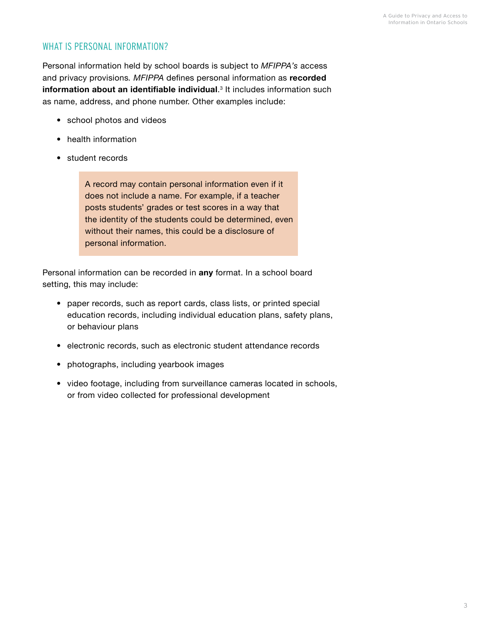## WHAT IS PERSONAL INFORMATION?

Personal information held by school boards is subject to *MFIPPA's* access and privacy provisions*. MFIPPA* defines personal information as **recorded information about an identifiable individual**. 3 It includes information such as name, address, and phone number. Other examples include:

- school photos and videos
- health information
- student records

A record may contain personal information even if it does not include a name. For example, if a teacher posts students' grades or test scores in a way that the identity of the students could be determined, even without their names, this could be a disclosure of personal information.

Personal information can be recorded in **any** format. In a school board setting, this may include:

- paper records, such as report cards, class lists, or printed special education records, including individual education plans, safety plans, or behaviour plans
- electronic records, such as electronic student attendance records
- photographs, including yearbook images
- video footage, including from surveillance cameras located in schools, or from video collected for professional development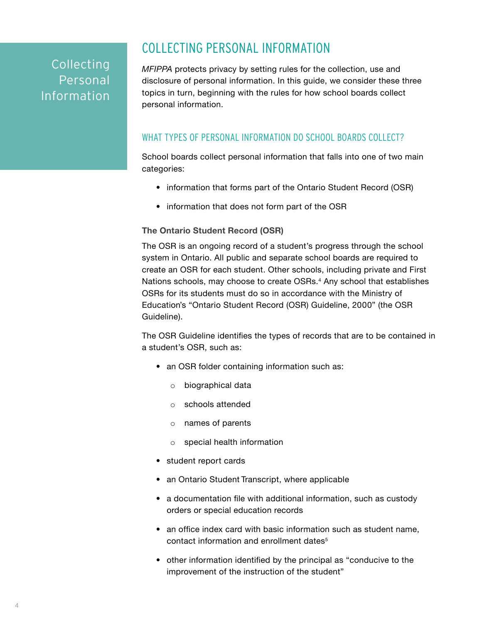## <span id="page-7-0"></span>Collecting Personal Information

## COLLECTING PERSONAL INFORMATION

*MFIPPA* protects privacy by setting rules for the collection, use and disclosure of personal information. In this guide, we consider these three topics in turn, beginning with the rules for how school boards collect personal information.

## WHAT TYPES OF PERSONAL INFORMATION DO SCHOOL BOARDS COLLECT?

School boards collect personal information that falls into one of two main categories:

- information that forms part of the Ontario Student Record (OSR)
- information that does not form part of the OSR

#### **The Ontario Student Record (OSR)**

The OSR is an ongoing record of a student's progress through the school system in Ontario. All public and separate school boards are required to create an OSR for each student. Other schools, including private and First Nations schools, may choose to create OSRs.<sup>4</sup> Any school that establishes OSRs for its students must do so in accordance with the Ministry of Education's "Ontario Student Record (OSR) Guideline, 2000" (the OSR Guideline).

The OSR Guideline identifies the types of records that are to be contained in a student's OSR, such as:

- an OSR folder containing information such as:
	- o biographical data
	- o schools attended
	- o names of parents
	- o special health information
- student report cards
- an Ontario Student Transcript, where applicable
- a documentation file with additional information, such as custody orders or special education records
- an office index card with basic information such as student name, contact information and enrollment dates<sup>5</sup>
- other information identified by the principal as "conducive to the improvement of the instruction of the student"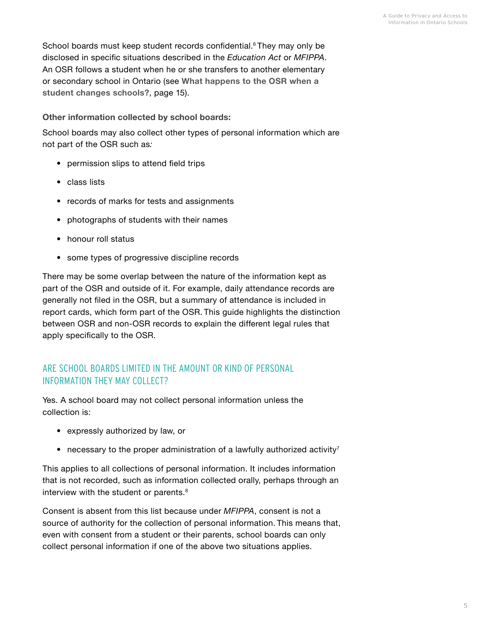School boards must keep student records confidential.<sup>6</sup> They may only be disclosed in specific situations described in the *Education Act* or *MFIPPA*. An OSR follows a student when he or she transfers to another elementary or secondary school in Ontario (see **[What happens to the OSR when a](#page-18-0)  [student changes schools?](#page-18-0)**, page 15).

#### **Other information collected by school boards:**

School boards may also collect other types of personal information which are not part of the OSR such as*:*

- permission slips to attend field trips
- class lists
- records of marks for tests and assignments
- photographs of students with their names
- honour roll status
- some types of progressive discipline records

There may be some overlap between the nature of the information kept as part of the OSR and outside of it. For example, daily attendance records are generally not filed in the OSR, but a summary of attendance is included in report cards, which form part of the OSR. This guide highlights the distinction between OSR and non-OSR records to explain the different legal rules that apply specifically to the OSR.

## ARE SCHOOL BOARDS LIMITED IN THE AMOUNT OR KIND OF PERSONAL INFORMATION THEY MAY COLLECT?

Yes. A school board may not collect personal information unless the collection is:

- expressly authorized by law, or
- necessary to the proper administration of a lawfully authorized activity<sup>7</sup>

This applies to all collections of personal information. It includes information that is not recorded, such as information collected orally, perhaps through an interview with the student or parents.<sup>8</sup>

Consent is absent from this list because under *MFIPPA*, consent is not a source of authority for the collection of personal information. This means that, even with consent from a student or their parents, school boards can only collect personal information if one of the above two situations applies.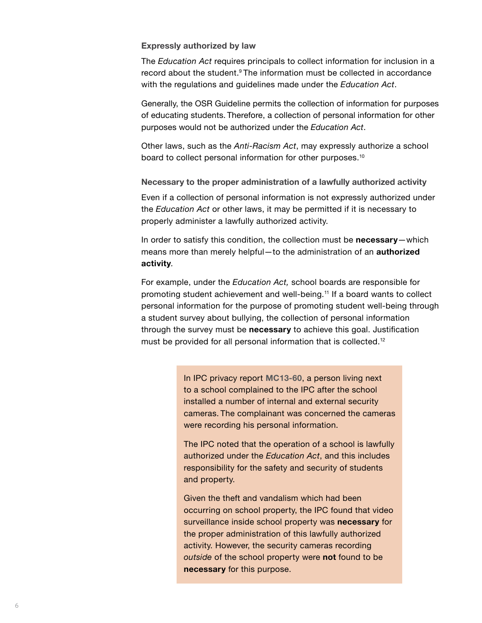#### **Expressly authorized by law**

The *Education Act* requires principals to collect information for inclusion in a record about the student.<sup>9</sup> The information must be collected in accordance with the regulations and guidelines made under the *Education Act*.

Generally, the OSR Guideline permits the collection of information for purposes of educating students. Therefore, a collection of personal information for other purposes would not be authorized under the *Education Act*.

Other laws, such as the *Anti-Racism Act*, may expressly authorize a school board to collect personal information for other purposes.<sup>10</sup>

#### **Necessary to the proper administration of a lawfully authorized activity**

Even if a collection of personal information is not expressly authorized under the *Education Act* or other laws, it may be permitted if it is necessary to properly administer a lawfully authorized activity.

In order to satisfy this condition, the collection must be **necessary**—which means more than merely helpful—to the administration of an **authorized activity***.*

For example, under the *Education Act,* school boards are responsible for promoting student achievement and well-being.<sup>11</sup> If a board wants to collect personal information for the purpose of promoting student well-being through a student survey about bullying, the collection of personal information through the survey must be **necessary** to achieve this goal. Justification must be provided for all personal information that is collected.<sup>12</sup>

> In IPC privacy report **[MC13-60](https://decisions.ipc.on.ca/ipc-cipvp/privacy/en/item/134788/index.do)**, a person living next to a school complained to the IPC after the school installed a number of internal and external security cameras. The complainant was concerned the cameras were recording his personal information.

> The IPC noted that the operation of a school is lawfully authorized under the *Education Act*, and this includes responsibility for the safety and security of students and property.

> Given the theft and vandalism which had been occurring on school property, the IPC found that video surveillance inside school property was **necessary** for the proper administration of this lawfully authorized activity. However, the security cameras recording *outside* of the school property were **not** found to be **necessary** for this purpose.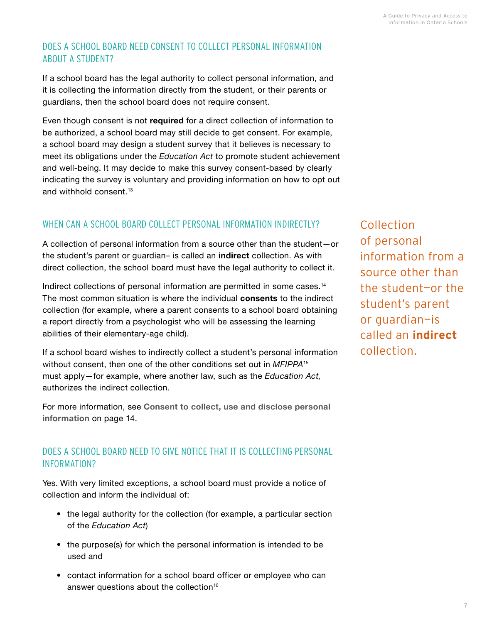## <span id="page-10-0"></span>DOES A SCHOOL BOARD NEED CONSENT TO COLLECT PERSONAL INFORMATION ABOUT A STUDENT?

If a school board has the legal authority to collect personal information, and it is collecting the information directly from the student, or their parents or guardians, then the school board does not require consent.

Even though consent is not **required** for a direct collection of information to be authorized, a school board may still decide to get consent. For example, a school board may design a student survey that it believes is necessary to meet its obligations under the *Education Act* to promote student achievement and well-being. It may decide to make this survey consent-based by clearly indicating the survey is voluntary and providing information on how to opt out and withhold consent.<sup>13</sup>

## WHEN CAN A SCHOOL BOARD COLLECT PERSONAL INFORMATION INDIRECTLY?

A collection of personal information from a source other than the student—or the student's parent or guardian– is called an **indirect** collection. As with direct collection, the school board must have the legal authority to collect it.

Indirect collections of personal information are permitted in some cases.14 The most common situation is where the individual **consents** to the indirect collection (for example, where a parent consents to a school board obtaining a report directly from a psychologist who will be assessing the learning abilities of their elementary-age child).

If a school board wishes to indirectly collect a student's personal information without consent, then one of the other conditions set out in *MFIPPA*<sup>15</sup> must apply—for example, where another law, such as the *Education Act,* authorizes the indirect collection.

For more information, see **[Consent to collect, use and disclose personal](#page-17-0)  [information](#page-17-0)** on page 14.

## DOES A SCHOOL BOARD NEED TO GIVE NOTICE THAT IT IS COLLECTING PERSONAL INFORMATION?

Yes. With very limited exceptions, a school board must provide a notice of collection and inform the individual of:

- the legal authority for the collection (for example, a particular section of the *Education Act*)
- the purpose(s) for which the personal information is intended to be used and
- contact information for a school board officer or employee who can answer questions about the collection<sup>16</sup>

Collection of personal information from a source other than the student—or the student's parent or guardian—is called an **indirect** collection.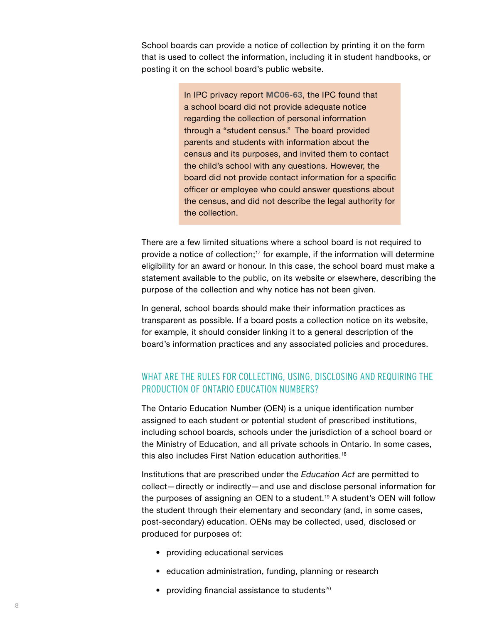School boards can provide a notice of collection by printing it on the form that is used to collect the information, including it in student handbooks, or posting it on the school board's public website.

> In IPC privacy report **[MC06-63](https://decisions.ipc.on.ca/ipc-cipvp/privacy/en/item/132998/index.do?r=AAAAAQAMc2Nob29sIGJvYXJkAQ)**, the IPC found that a school board did not provide adequate notice regarding the collection of personal information through a "student census." The board provided parents and students with information about the census and its purposes, and invited them to contact the child's school with any questions. However, the board did not provide contact information for a specific officer or employee who could answer questions about the census, and did not describe the legal authority for the collection.

There are a few limited situations where a school board is not required to provide a notice of collection;<sup>17</sup> for example, if the information will determine eligibility for an award or honour. In this case, the school board must make a statement available to the public, on its website or elsewhere, describing the purpose of the collection and why notice has not been given.

In general, school boards should make their information practices as transparent as possible. If a board posts a collection notice on its website, for example, it should consider linking it to a general description of the board's information practices and any associated policies and procedures.

## WHAT ARE THE RULES FOR COLLECTING, USING, DISCLOSING AND REQUIRING THE PRODUCTION OF ONTARIO EDUCATION NUMBERS?

The Ontario Education Number (OEN) is a unique identification number assigned to each student or potential student of prescribed institutions, including school boards, schools under the jurisdiction of a school board or the Ministry of Education, and all private schools in Ontario. In some cases, this also includes First Nation education authorities.18

Institutions that are prescribed under the *Education Act* are permitted to collect—directly or indirectly—and use and disclose personal information for the purposes of assigning an OEN to a student.<sup>19</sup> A student's OEN will follow the student through their elementary and secondary (and, in some cases, post-secondary) education. OENs may be collected, used, disclosed or produced for purposes of:

- providing educational services
- education administration, funding, planning or research
- providing financial assistance to students $20$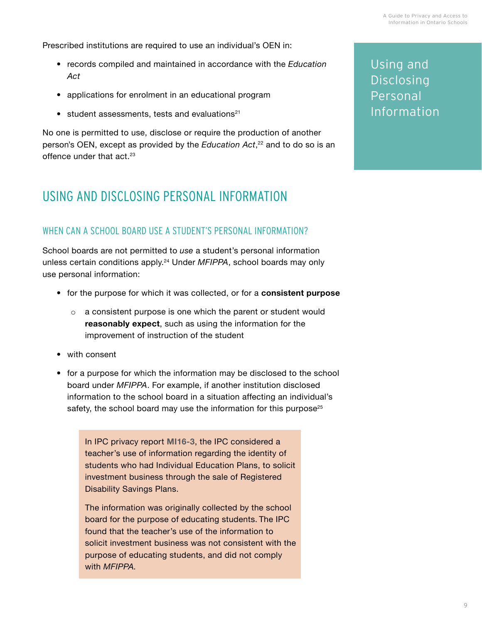<span id="page-12-0"></span>Prescribed institutions are required to use an individual's OEN in:

- records compiled and maintained in accordance with the *Education Act*
- applications for enrolment in an educational program
- student assessments, tests and evaluations<sup>21</sup>

No one is permitted to use, disclose or require the production of another person's OEN, except as provided by the *Education Act*, 22 and to do so is an offence under that act.<sup>23</sup>

## USING AND DISCLOSING PERSONAL INFORMATION

#### WHEN CAN A SCHOOL BOARD USE A STUDENT'S PERSONAL INFORMATION?

School boards are not permitted to *use* a student's personal information unless certain conditions apply.24 Under *MFIPPA*, school boards may only use personal information:

- for the purpose for which it was collected, or for a **consistent purpose**
	- $\circ$  a consistent purpose is one which the parent or student would **reasonably expect**, such as using the information for the improvement of instruction of the student
- with consent
- for a purpose for which the information may be disclosed to the school board under *MFIPPA*. For example, if another institution disclosed information to the school board in a situation affecting an individual's safety, the school board may use the information for this purpose<sup>25</sup>

In IPC privacy report **[MI16-3](https://decisions.ipc.on.ca/ipc-cipvp/privacy/en/item/310656/index.do?r=AAAAAQADaWVwAQ)**, the IPC considered a teacher's use of information regarding the identity of students who had Individual Education Plans, to solicit investment business through the sale of Registered Disability Savings Plans.

The information was originally collected by the school board for the purpose of educating students. The IPC found that the teacher's use of the information to solicit investment business was not consistent with the purpose of educating students, and did not comply with *MFIPPA.*

Using and Disclosing Personal Information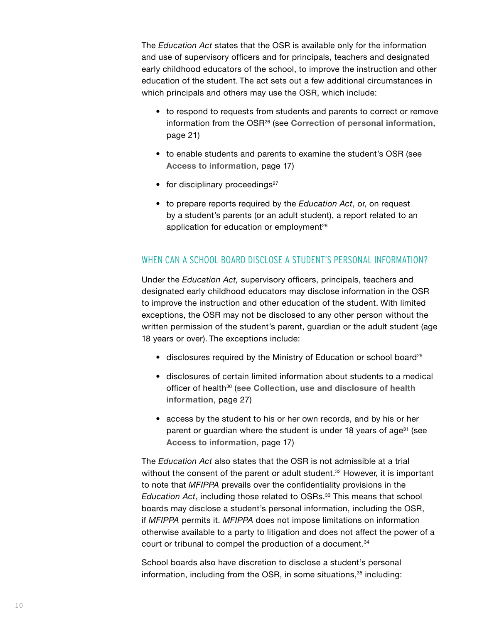The *Education Act* states that the OSR is available only for the information and use of supervisory officers and for principals, teachers and designated early childhood educators of the school, to improve the instruction and other education of the student. The act sets out a few additional circumstances in which principals and others may use the OSR, which include:

- to respond to requests from students and parents to correct or remove information from the OSR26 (see **[Correction of personal information](#page-24-0)**, page 21)
- to enable students and parents to examine the student's OSR (see **[Access to information](#page-20-0)**, page 17)
- $\bullet$  for disciplinary proceedings<sup>27</sup>
- to prepare reports required by the *Education Act*, or, on request by a student's parents (or an adult student), a report related to an application for education or employment<sup>28</sup>

### WHEN CAN A SCHOOL BOARD DISCLOSE A STUDENT'S PERSONAL INFORMATION?

Under the *Education Act,* supervisory officers, principals, teachers and designated early childhood educators may disclose information in the OSR to improve the instruction and other education of the student. With limited exceptions, the OSR may not be disclosed to any other person without the written permission of the student's parent, guardian or the adult student (age 18 years or over). The exceptions include:

- disclosures required by the Ministry of Education or school board<sup>29</sup>
- disclosures of certain limited information about students to a medical officer of health<sup>30</sup> (see Collection, use and disclosure of health **[information](#page-30-0)**, page 27)
- access by the student to his or her own records, and by his or her parent or guardian where the student is under 18 years of age<sup>31</sup> (see **[Access to information](#page-20-0)**, page 17)

The *Education Act* also states that the OSR is not admissible at a trial without the consent of the parent or adult student.<sup>32</sup> However, it is important to note that *MFIPPA* prevails over the confidentiality provisions in the *Education Act*, including those related to OSRs.33 This means that school boards may disclose a student's personal information, including the OSR, if *MFIPPA* permits it. *MFIPPA* does not impose limitations on information otherwise available to a party to litigation and does not affect the power of a court or tribunal to compel the production of a document.<sup>34</sup>

School boards also have discretion to disclose a student's personal information, including from the OSR, in some situations, $35$  including: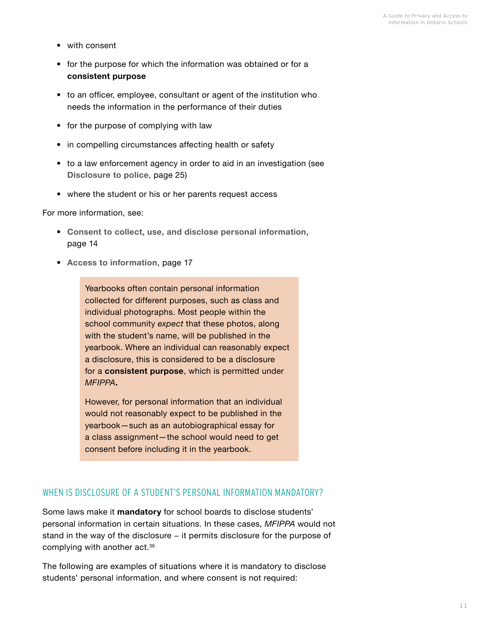- with consent
- for the purpose for which the information was obtained or for a **consistent purpose**
- to an officer, employee, consultant or agent of the institution who needs the information in the performance of their duties
- for the purpose of complying with law
- in compelling circumstances affecting health or safety
- to a law enforcement agency in order to aid in an investigation (see **[Disclosure to police](#page-28-0)**, page 25)
- where the student or his or her parents request access

For more information, see:

- **[Consent to collect, use, and disclose personal information](#page-17-0)**, page 14
- **[Access to information](#page-20-0)**, page 17

Yearbooks often contain personal information collected for different purposes, such as class and individual photographs. Most people within the school community *expect* that these photos, along with the student's name, will be published in the yearbook. Where an individual can reasonably expect a disclosure, this is considered to be a disclosure for a **consistent purpose**, which is permitted under *MFIPPA***.**

However, for personal information that an individual would not reasonably expect to be published in the yearbook—such as an autobiographical essay for a class assignment—the school would need to get consent before including it in the yearbook.

#### WHEN IS DISCLOSURE OF A STUDENT'S PERSONAL INFORMATION MANDATORY?

Some laws make it **mandatory** for school boards to disclose students' personal information in certain situations. In these cases, *MFIPPA* would not stand in the way of the disclosure – it permits disclosure for the purpose of complying with another act.36

The following are examples of situations where it is mandatory to disclose students' personal information, and where consent is not required: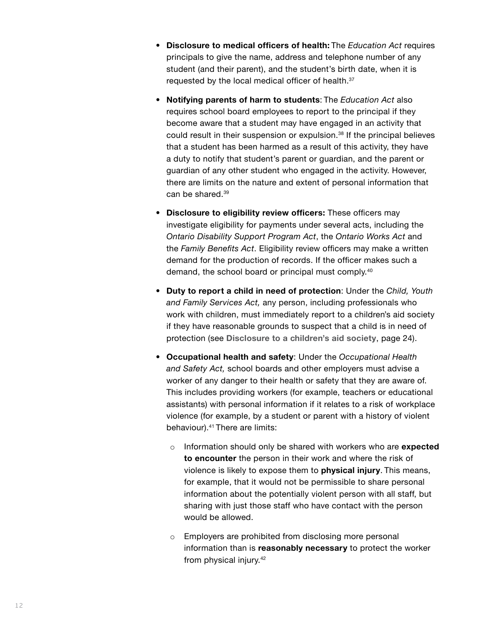- **• Disclosure to medical officers of health:** The *Education Act* requires principals to give the name, address and telephone number of any student (and their parent), and the student's birth date, when it is requested by the local medical officer of health.<sup>37</sup>
- **• Notifying parents of harm to students**: The *Education Act* also requires school board employees to report to the principal if they become aware that a student may have engaged in an activity that could result in their suspension or expulsion.<sup>38</sup> If the principal believes that a student has been harmed as a result of this activity, they have a duty to notify that student's parent or guardian, and the parent or guardian of any other student who engaged in the activity. However, there are limits on the nature and extent of personal information that can be shared.<sup>39</sup>
- **• Disclosure to eligibility review officers:** These officers may investigate eligibility for payments under several acts, including the *Ontario Disability Support Program Act*, the *Ontario Works Act* and the *Family Benefits Act*. Eligibility review officers may make a written demand for the production of records. If the officer makes such a demand, the school board or principal must comply.40
- **• Duty to report a child in need of protection**: Under the *Child, Youth and Family Services Act,* any person, including professionals who work with children, must immediately report to a children's aid society if they have reasonable grounds to suspect that a child is in need of protection (see **[Disclosure to a children's aid society](#page-27-0)**, page 24).
- **• Occupational health and safety**: Under the *Occupational Health and Safety Act,* school boards and other employers must advise a worker of any danger to their health or safety that they are aware of. This includes providing workers (for example, teachers or educational assistants) with personal information if it relates to a risk of workplace violence (for example, by a student or parent with a history of violent behaviour).41 There are limits:
	- o Information should only be shared with workers who are **expected to encounter** the person in their work and where the risk of violence is likely to expose them to **physical injury**. This means, for example, that it would not be permissible to share personal information about the potentially violent person with all staff, but sharing with just those staff who have contact with the person would be allowed.
	- o Employers are prohibited from disclosing more personal information than is **reasonably necessary** to protect the worker from physical injury.42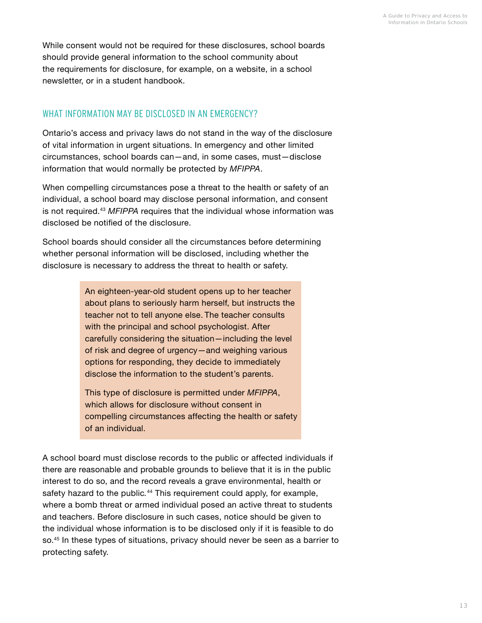<span id="page-16-0"></span>While consent would not be required for these disclosures, school boards should provide general information to the school community about the requirements for disclosure, for example, on a website, in a school newsletter, or in a student handbook.

### WHAT INFORMATION MAY BE DISCLOSED IN AN EMERGENCY?

Ontario's access and privacy laws do not stand in the way of the disclosure of vital information in urgent situations. In emergency and other limited circumstances, school boards can—and, in some cases, must—disclose information that would normally be protected by *MFIPPA*.

When compelling circumstances pose a threat to the health or safety of an individual, a school board may disclose personal information, and consent is not required.43 *MFIPPA* requires that the individual whose information was disclosed be notified of the disclosure.

School boards should consider all the circumstances before determining whether personal information will be disclosed, including whether the disclosure is necessary to address the threat to health or safety.

> An eighteen-year-old student opens up to her teacher about plans to seriously harm herself, but instructs the teacher not to tell anyone else. The teacher consults with the principal and school psychologist. After carefully considering the situation—including the level of risk and degree of urgency—and weighing various options for responding, they decide to immediately disclose the information to the student's parents.

> This type of disclosure is permitted under *MFIPPA*, which allows for disclosure without consent in compelling circumstances affecting the health or safety of an individual.

A school board must disclose records to the public or affected individuals if there are reasonable and probable grounds to believe that it is in the public interest to do so, and the record reveals a grave environmental, health or safety hazard to the public*.* <sup>44</sup> This requirement could apply, for example, where a bomb threat or armed individual posed an active threat to students and teachers. Before disclosure in such cases, notice should be given to the individual whose information is to be disclosed only if it is feasible to do so.<sup>45</sup> In these types of situations, privacy should never be seen as a barrier to protecting safety.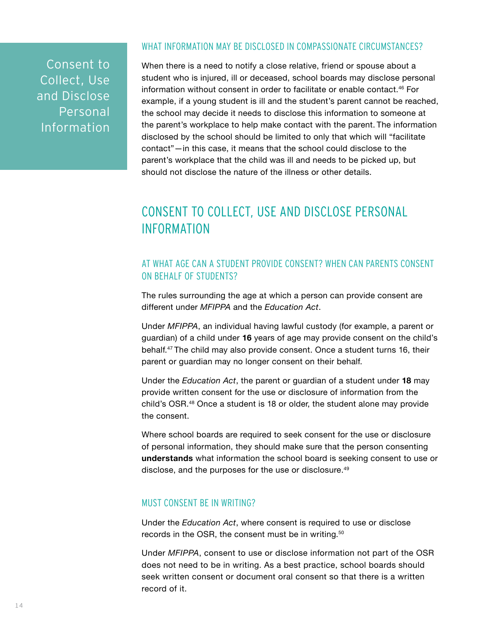<span id="page-17-0"></span>Consent to Collect, Use and Disclose Personal Information

### WHAT INFORMATION MAY BE DISCLOSED IN COMPASSIONATE CIRCUMSTANCES?

When there is a need to notify a close relative, friend or spouse about a student who is injured, ill or deceased, school boards may disclose personal information without consent in order to facilitate or enable contact.46 For example, if a young student is ill and the student's parent cannot be reached, the school may decide it needs to disclose this information to someone at the parent's workplace to help make contact with the parent. The information disclosed by the school should be limited to only that which will "facilitate contact"—in this case, it means that the school could disclose to the parent's workplace that the child was ill and needs to be picked up, but should not disclose the nature of the illness or other details.

## CONSENT TO COLLECT, USE AND DISCLOSE PERSONAL INFORMATION

## AT WHAT AGE CAN A STUDENT PROVIDE CONSENT? WHEN CAN PARENTS CONSENT ON BEHALF OF STUDENTS?

The rules surrounding the age at which a person can provide consent are different under *MFIPPA* and the *Education Act*.

Under *MFIPPA*, an individual having lawful custody (for example, a parent or guardian) of a child under **16** years of age may provide consent on the child's behalf.47 The child may also provide consent. Once a student turns 16, their parent or guardian may no longer consent on their behalf.

Under the *Education Act*, the parent or guardian of a student under **18** may provide written consent for the use or disclosure of information from the child's OSR.48 Once a student is 18 or older, the student alone may provide the consent.

Where school boards are required to seek consent for the use or disclosure of personal information, they should make sure that the person consenting **understands** what information the school board is seeking consent to use or disclose, and the purposes for the use or disclosure.<sup>49</sup>

#### MUST CONSENT BE IN WRITING?

Under the *Education Act*, where consent is required to use or disclose records in the OSR, the consent must be in writing.<sup>50</sup>

Under *MFIPPA*, consent to use or disclose information not part of the OSR does not need to be in writing. As a best practice, school boards should seek written consent or document oral consent so that there is a written record of it.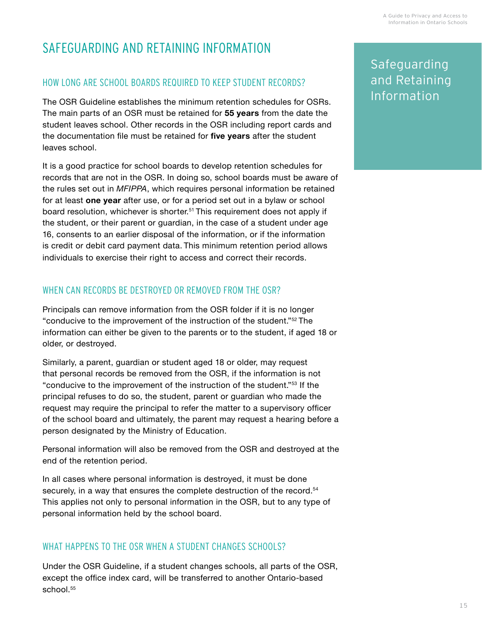## <span id="page-18-0"></span>SAFEGUARDING AND RETAINING INFORMATION

### HOW LONG ARE SCHOOL BOARDS REQUIRED TO KEEP STUDENT RECORDS?

The OSR Guideline establishes the minimum retention schedules for OSRs. The main parts of an OSR must be retained for **55 years** from the date the student leaves school. Other records in the OSR including report cards and the documentation file must be retained for **five years** after the student leaves school.

It is a good practice for school boards to develop retention schedules for records that are not in the OSR. In doing so, school boards must be aware of the rules set out in *MFIPPA*, which requires personal information be retained for at least **one year** after use, or for a period set out in a bylaw or school board resolution, whichever is shorter.<sup>51</sup> This requirement does not apply if the student, or their parent or guardian, in the case of a student under age 16, consents to an earlier disposal of the information, or if the information is credit or debit card payment data. This minimum retention period allows individuals to exercise their right to access and correct their records.

### WHEN CAN RECORDS BE DESTROYED OR REMOVED FROM THE OSR?

Principals can remove information from the OSR folder if it is no longer "conducive to the improvement of the instruction of the student."52 The information can either be given to the parents or to the student, if aged 18 or older, or destroyed.

Similarly, a parent, guardian or student aged 18 or older, may request that personal records be removed from the OSR, if the information is not "conducive to the improvement of the instruction of the student."53 If the principal refuses to do so, the student, parent or guardian who made the request may require the principal to refer the matter to a supervisory officer of the school board and ultimately, the parent may request a hearing before a person designated by the Ministry of Education.

Personal information will also be removed from the OSR and destroyed at the end of the retention period.

In all cases where personal information is destroyed, it must be done securely, in a way that ensures the complete destruction of the record.<sup>54</sup> This applies not only to personal information in the OSR, but to any type of personal information held by the school board.

### WHAT HAPPENS TO THE OSR WHEN A STUDENT CHANGES SCHOOLS?

Under the OSR Guideline, if a student changes schools, all parts of the OSR, except the office index card, will be transferred to another Ontario-based school.<sup>55</sup>

## Safeguarding and Retaining Information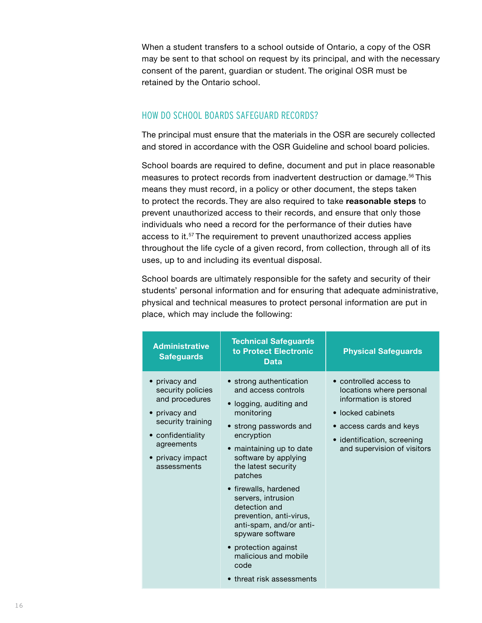<span id="page-19-0"></span>When a student transfers to a school outside of Ontario, a copy of the OSR may be sent to that school on request by its principal, and with the necessary consent of the parent, guardian or student. The original OSR must be retained by the Ontario school.

#### HOW DO SCHOOL BOARDS SAFEGUARD RECORDS?

The principal must ensure that the materials in the OSR are securely collected and stored in accordance with the OSR Guideline and school board policies.

School boards are required to define, document and put in place reasonable measures to protect records from inadvertent destruction or damage.56 This means they must record, in a policy or other document, the steps taken to protect the records. They are also required to take **reasonable steps** to prevent unauthorized access to their records, and ensure that only those individuals who need a record for the performance of their duties have access to it.57 The requirement to prevent unauthorized access applies throughout the life cycle of a given record, from collection, through all of its uses, up to and including its eventual disposal.

School boards are ultimately responsible for the safety and security of their students' personal information and for ensuring that adequate administrative, physical and technical measures to protect personal information are put in place, which may include the following:

| • strong authentication<br>• privacy and                                                                                                                                                                                                                                                                                                                                                                                                                                                                                                                                     | • controlled access to<br>locations where personal<br>information is stored                                        |
|------------------------------------------------------------------------------------------------------------------------------------------------------------------------------------------------------------------------------------------------------------------------------------------------------------------------------------------------------------------------------------------------------------------------------------------------------------------------------------------------------------------------------------------------------------------------------|--------------------------------------------------------------------------------------------------------------------|
| and access controls<br>security policies<br>and procedures<br>• logging, auditing and<br>monitoring<br>• privacy and<br>security training<br>• strong passwords and<br>• confidentiality<br>encryption<br>agreements<br>• maintaining up to date<br>software by applying<br>• privacy impact<br>the latest security<br>assessments<br>patches<br>• firewalls, hardened<br>servers, intrusion<br>detection and<br>prevention, anti-virus,<br>anti-spam, and/or anti-<br>spyware software<br>• protection against<br>malicious and mobile<br>code<br>• threat risk assessments | • locked cabinets<br>$\bullet$ access cards and keys<br>• identification, screening<br>and supervision of visitors |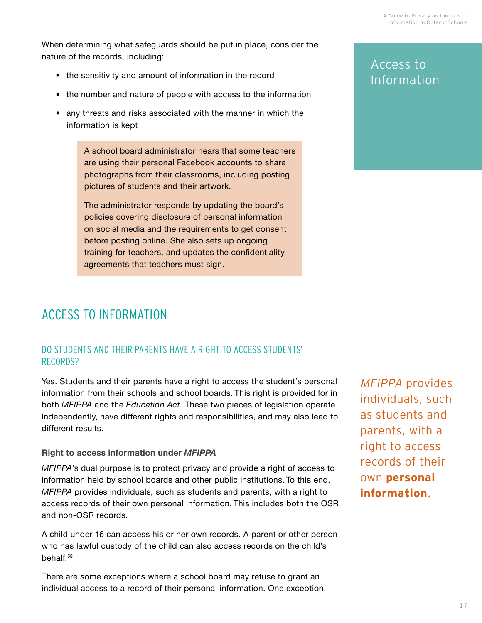Access to

Information

<span id="page-20-0"></span>When determining what safeguards should be put in place, consider the nature of the records, including:

- the sensitivity and amount of information in the record
- the number and nature of people with access to the information
- any threats and risks associated with the manner in which the information is kept

A school board administrator hears that some teachers are using their personal Facebook accounts to share photographs from their classrooms, including posting pictures of students and their artwork.

The administrator responds by updating the board's policies covering disclosure of personal information on social media and the requirements to get consent before posting online. She also sets up ongoing training for teachers, and updates the confidentiality agreements that teachers must sign.

## ACCESS TO INFORMATION

## DO STUDENTS AND THEIR PARENTS HAVE A RIGHT TO ACCESS STUDENTS' RECORDS?

Yes. Students and their parents have a right to access the student's personal information from their schools and school boards. This right is provided for in both *MFIPPA* and the *Education Act.* These two pieces of legislation operate independently, have different rights and responsibilities, and may also lead to different results.

#### **Right to access information under** *MFIPPA*

*MFIPPA*'s dual purpose is to protect privacy and provide a right of access to information held by school boards and other public institutions. To this end, *MFIPPA* provides individuals, such as students and parents, with a right to access records of their own personal information. This includes both the OSR and non-OSR records.

A child under 16 can access his or her own records. A parent or other person who has lawful custody of the child can also access records on the child's behalf.58

There are some exceptions where a school board may refuse to grant an individual access to a record of their personal information. One exception MFIPPA provides individuals, such as students and parents, with a right to access records of their own **personal information**.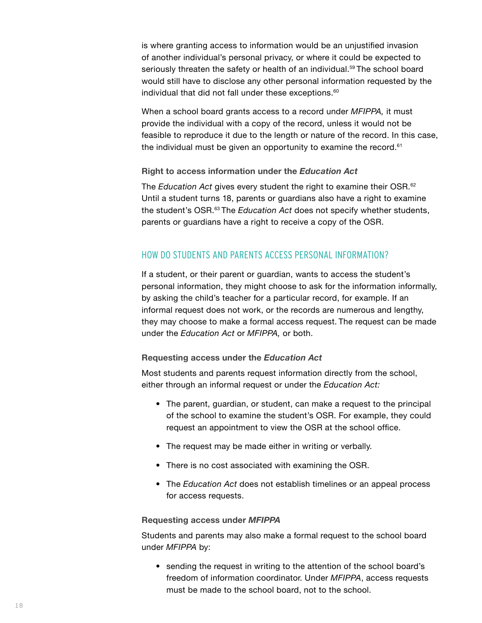<span id="page-21-0"></span>is where granting access to information would be an unjustified invasion of another individual's personal privacy, or where it could be expected to seriously threaten the safety or health of an individual.<sup>59</sup> The school board would still have to disclose any other personal information requested by the individual that did not fall under these exceptions.<sup>60</sup>

When a school board grants access to a record under *MFIPPA,* it must provide the individual with a copy of the record, unless it would not be feasible to reproduce it due to the length or nature of the record. In this case, the individual must be given an opportunity to examine the record.<sup>61</sup>

#### **Right to access information under the** *Education Act*

The *Education Act* gives every student the right to examine their OSR.<sup>62</sup> Until a student turns 18, parents or guardians also have a right to examine the student's OSR.<sup>63</sup> The *Education Act* does not specify whether students, parents or guardians have a right to receive a copy of the OSR.

### HOW DO STUDENTS AND PARENTS ACCESS PERSONAL INFORMATION?

If a student, or their parent or guardian, wants to access the student's personal information, they might choose to ask for the information informally, by asking the child's teacher for a particular record, for example. If an informal request does not work, or the records are numerous and lengthy, they may choose to make a formal access request. The request can be made under the *Education Act* or *MFIPPA,* or both.

#### **Requesting access under the** *Education Act*

Most students and parents request information directly from the school, either through an informal request or under the *Education Act:*

- The parent, guardian, or student, can make a request to the principal of the school to examine the student's OSR. For example, they could request an appointment to view the OSR at the school office.
- The request may be made either in writing or verbally.
- There is no cost associated with examining the OSR.
- The *Education Act* does not establish timelines or an appeal process for access requests.

#### **Requesting access under** *MFIPPA*

Students and parents may also make a formal request to the school board under *MFIPPA* by:

• sending the request in writing to the attention of the school board's freedom of information coordinator. Under *MFIPPA*, access requests must be made to the school board, not to the school.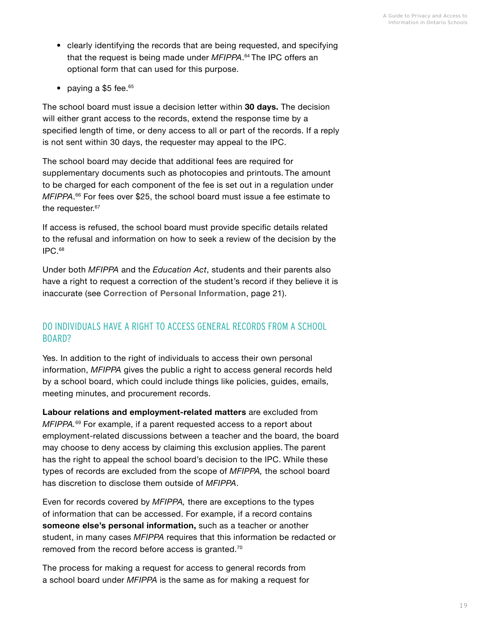- clearly identifying the records that are being requested, and specifying that the request is being made under *MFIPPA*. 64 The IPC offers an optional form that can used for this purpose.
- paying a  $$5$  fee.  $$^{65}$

The school board must issue a decision letter within **30 days.** The decision will either grant access to the records, extend the response time by a specified length of time, or deny access to all or part of the records. If a reply is not sent within 30 days, the requester may appeal to the IPC.

The school board may decide that additional fees are required for supplementary documents such as photocopies and printouts. The amount to be charged for each component of the fee is set out in a regulation under *MFIPPA*. 66 For fees over \$25, the school board must issue a fee estimate to the requester.<sup>67</sup>

If access is refused, the school board must provide specific details related to the refusal and information on how to seek a review of the decision by the IPC.68

Under both *MFIPPA* and the *Education Act*, students and their parents also have a right to request a correction of the student's record if they believe it is inaccurate (see **[Correction of Personal Information](#page-24-0)**, page 21).

## DO INDIVIDUALS HAVE A RIGHT TO ACCESS GENERAL RECORDS FROM A SCHOOL BOARD?

Yes. In addition to the right of individuals to access their own personal information, *MFIPPA* gives the public a right to access general records held by a school board, which could include things like policies, guides, emails, meeting minutes, and procurement records.

**Labour relations and employment-related matters** are excluded from *MFIPPA.*<sup>69</sup> For example, if a parent requested access to a report about employment-related discussions between a teacher and the board, the board may choose to deny access by claiming this exclusion applies. The parent has the right to appeal the school board's decision to the IPC. While these types of records are excluded from the scope of *MFIPPA,* the school board has discretion to disclose them outside of *MFIPPA*.

Even for records covered by *MFIPPA,* there are exceptions to the types of information that can be accessed. For example, if a record contains **someone else's personal information,** such as a teacher or another student, in many cases *MFIPPA* requires that this information be redacted or removed from the record before access is granted.<sup>70</sup>

The process for making a request for access to general records from a school board under *MFIPPA* is the same as for making a request for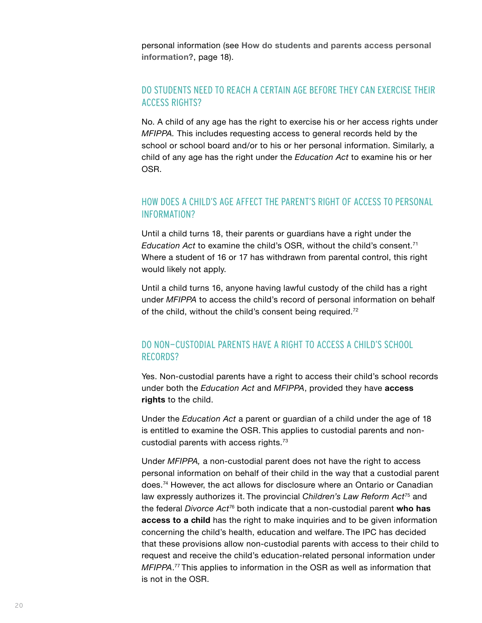personal information (see **[How do students and parents access personal](#page-21-0)  [information?](#page-21-0)**, page 18).

### DO STUDENTS NEED TO REACH A CERTAIN AGE BEFORE THEY CAN EXERCISE THEIR ACCESS RIGHTS?

No. A child of any age has the right to exercise his or her access rights under *MFIPPA.* This includes requesting access to general records held by the school or school board and/or to his or her personal information. Similarly, a child of any age has the right under the *Education Act* to examine his or her OSR.

### HOW DOES A CHILD'S AGE AFFECT THE PARENT'S RIGHT OF ACCESS TO PERSONAL INFORMATION?

Until a child turns 18, their parents or guardians have a right under the *Education Act* to examine the child's OSR, without the child's consent.71 Where a student of 16 or 17 has withdrawn from parental control, this right would likely not apply.

Until a child turns 16, anyone having lawful custody of the child has a right under *MFIPPA* to access the child's record of personal information on behalf of the child, without the child's consent being required.<sup>72</sup>

### DO NON-CUSTODIAL PARENTS HAVE A RIGHT TO ACCESS A CHILD'S SCHOOL RECORDS?

Yes. Non-custodial parents have a right to access their child's school records under both the *Education Act* and *MFIPPA*, provided they have **access rights** to the child.

Under the *Education Act* a parent or guardian of a child under the age of 18 is entitled to examine the OSR. This applies to custodial parents and noncustodial parents with access rights.73

Under *MFIPPA,* a non-custodial parent does not have the right to access personal information on behalf of their child in the way that a custodial parent does.74 However, the act allows for disclosure where an Ontario or Canadian law expressly authorizes it. The provincial *Children's Law Reform Act*<sup>75</sup> and the federal *Divorce Act*76 both indicate that a non-custodial parent **who has access to a child** has the right to make inquiries and to be given information concerning the child's health, education and welfare. The IPC has decided that these provisions allow non-custodial parents with access to their child to request and receive the child's education-related personal information under *MFIPPA*. 77 This applies to information in the OSR as well as information that is not in the OSR.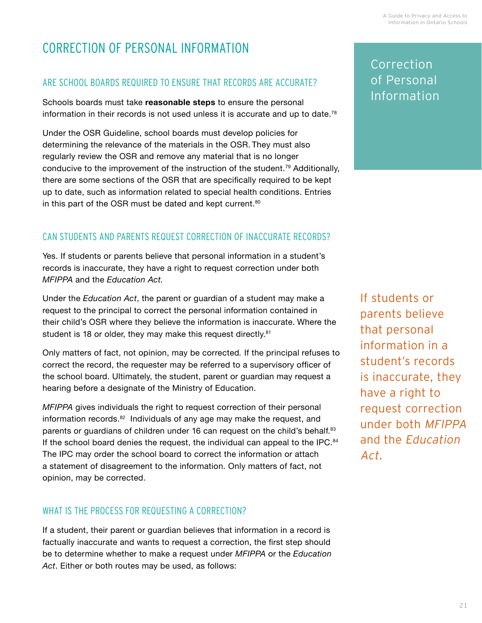## <span id="page-24-0"></span>CORRECTION OF PERSONAL INFORMATION

## ARE SCHOOL BOARDS REQUIRED TO ENSURE THAT RECORDS ARE ACCURATE?

Schools boards must take **reasonable steps** to ensure the personal information in their records is not used unless it is accurate and up to date.<sup>78</sup>

Under the OSR Guideline, school boards must develop policies for determining the relevance of the materials in the OSR. They must also regularly review the OSR and remove any material that is no longer conducive to the improvement of the instruction of the student.79 Additionally, there are some sections of the OSR that are specifically required to be kept up to date, such as information related to special health conditions. Entries in this part of the OSR must be dated and kept current.<sup>80</sup>

## CAN STUDENTS AND PARENTS REQUEST CORRECTION OF INACCURATE RECORDS?

Yes. If students or parents believe that personal information in a student's records is inaccurate, they have a right to request correction under both *MFIPPA* and the *Education Act.*

Under the *Education Act*, the parent or guardian of a student may make a request to the principal to correct the personal information contained in their child's OSR where they believe the information is inaccurate. Where the student is 18 or older, they may make this request directly.<sup>81</sup>

Only matters of fact, not opinion, may be corrected*.* If the principal refuses to correct the record, the requester may be referred to a supervisory officer of the school board. Ultimately, the student, parent or guardian may request a hearing before a designate of the Ministry of Education.

*MFIPPA* gives individuals the right to request correction of their personal information records.<sup>82</sup> Individuals of any age may make the request, and parents or guardians of children under 16 can request on the child's behalf.<sup>83</sup> If the school board denies the request, the individual can appeal to the IPC.<sup>84</sup> The IPC may order the school board to correct the information or attach a statement of disagreement to the information. Only matters of fact, not opinion, may be corrected.

## WHAT IS THE PROCESS FOR REQUESTING A CORRECTION?

If a student, their parent or guardian believes that information in a record is factually inaccurate and wants to request a correction, the first step should be to determine whether to make a request under *MFIPPA* or the *Education Act*. Either or both routes may be used, as follows:

Correction of Personal Information

If students or parents believe that personal information in a student's records is inaccurate, they have a right to request correction under both MFIPPA and the Education Act.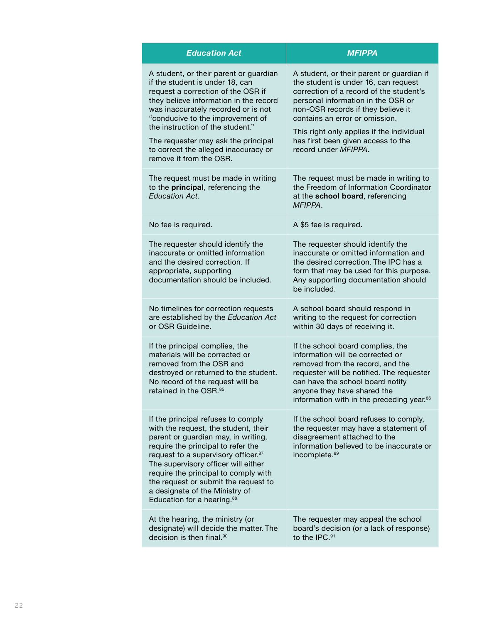| <b>Education Act</b>                                                                                                                                                                                                                                                                                                                                                                                          | <b>MFIPPA</b>                                                                                                                                                                                                                                                                                                                                         |
|---------------------------------------------------------------------------------------------------------------------------------------------------------------------------------------------------------------------------------------------------------------------------------------------------------------------------------------------------------------------------------------------------------------|-------------------------------------------------------------------------------------------------------------------------------------------------------------------------------------------------------------------------------------------------------------------------------------------------------------------------------------------------------|
| A student, or their parent or guardian<br>if the student is under 18, can<br>request a correction of the OSR if<br>they believe information in the record<br>was inaccurately recorded or is not<br>"conducive to the improvement of<br>the instruction of the student."<br>The requester may ask the principal<br>to correct the alleged inaccuracy or<br>remove it from the OSR.                            | A student, or their parent or guardian if<br>the student is under 16, can request<br>correction of a record of the student's<br>personal information in the OSR or<br>non-OSR records if they believe it<br>contains an error or omission.<br>This right only applies if the individual<br>has first been given access to the<br>record under MFIPPA. |
| The request must be made in writing<br>to the principal, referencing the<br>Education Act.                                                                                                                                                                                                                                                                                                                    | The request must be made in writing to<br>the Freedom of Information Coordinator<br>at the school board, referencing<br>MFIPPA.                                                                                                                                                                                                                       |
| No fee is required.                                                                                                                                                                                                                                                                                                                                                                                           | A \$5 fee is required.                                                                                                                                                                                                                                                                                                                                |
| The requester should identify the<br>inaccurate or omitted information<br>and the desired correction. If<br>appropriate, supporting<br>documentation should be included.                                                                                                                                                                                                                                      | The requester should identify the<br>inaccurate or omitted information and<br>the desired correction. The IPC has a<br>form that may be used for this purpose.<br>Any supporting documentation should<br>be included.                                                                                                                                 |
| No timelines for correction requests<br>are established by the Education Act<br>or OSR Guideline.                                                                                                                                                                                                                                                                                                             | A school board should respond in<br>writing to the request for correction<br>within 30 days of receiving it.                                                                                                                                                                                                                                          |
| If the principal complies, the<br>materials will be corrected or<br>removed from the OSR and<br>destroyed or returned to the student.<br>No record of the request will be<br>retained in the OSR. <sup>85</sup>                                                                                                                                                                                               | If the school board complies, the<br>information will be corrected or<br>removed from the record, and the<br>requester will be notified. The requester<br>can have the school board notify<br>anyone they have shared the<br>information with in the preceding year. <sup>86</sup>                                                                    |
| If the principal refuses to comply<br>with the request, the student, their<br>parent or guardian may, in writing,<br>require the principal to refer the<br>request to a supervisory officer. <sup>87</sup><br>The supervisory officer will either<br>require the principal to comply with<br>the request or submit the request to<br>a designate of the Ministry of<br>Education for a hearing. <sup>88</sup> | If the school board refuses to comply,<br>the requester may have a statement of<br>disagreement attached to the<br>information believed to be inaccurate or<br>incomplete. <sup>89</sup>                                                                                                                                                              |
| At the hearing, the ministry (or<br>designate) will decide the matter. The<br>decision is then final. <sup>90</sup>                                                                                                                                                                                                                                                                                           | The requester may appeal the school<br>board's decision (or a lack of response)<br>to the IPC. <sup>91</sup>                                                                                                                                                                                                                                          |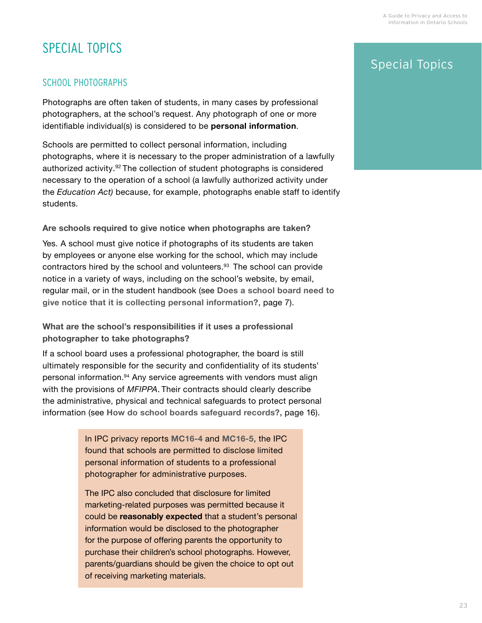## <span id="page-26-0"></span>SPECIAL TOPICS

### SCHOOL PHOTOGRAPHS

Photographs are often taken of students, in many cases by professional photographers, at the school's request. Any photograph of one or more identifiable individual(s) is considered to be **personal information**.

Schools are permitted to collect personal information, including photographs, where it is necessary to the proper administration of a lawfully authorized activity.<sup>92</sup> The collection of student photographs is considered necessary to the operation of a school (a lawfully authorized activity under the *Education Act)* because, for example, photographs enable staff to identify students.

#### **Are schools required to give notice when photographs are taken?**

Yes. A school must give notice if photographs of its students are taken by employees or anyone else working for the school, which may include contractors hired by the school and volunteers.<sup>93</sup> The school can provide notice in a variety of ways, including on the school's website, by email, regular mail, or in the student handbook (see **[Does a school board need to](#page-10-0)  [give notice that it is collecting personal information?](#page-10-0)**, page 7).

### **What are the school's responsibilities if it uses a professional photographer to take photographs?**

If a school board uses a professional photographer, the board is still ultimately responsible for the security and confidentiality of its students' personal information.94 Any service agreements with vendors must align with the provisions of *MFIPPA*. Their contracts should clearly describe the administrative, physical and technical safeguards to protect personal information (see **[How do school boards safeguard records?,](#page-19-0)** page 16).

> In IPC privacy reports **[MC16-4](https://decisions.ipc.on.ca/ipc-cipvp/privacy/en/item/309923/index.do?r=AAAAAQAGbWMxNi00AQ)** and **[MC16-5](https://decisions.ipc.on.ca/ipc-cipvp/privacy/en/item/310411/index.do)**, the IPC found that schools are permitted to disclose limited personal information of students to a professional photographer for administrative purposes.

The IPC also concluded that disclosure for limited marketing-related purposes was permitted because it could be **reasonably expected** that a student's personal information would be disclosed to the photographer for the purpose of offering parents the opportunity to purchase their children's school photographs. However, parents/guardians should be given the choice to opt out of receiving marketing materials.

## Special Topics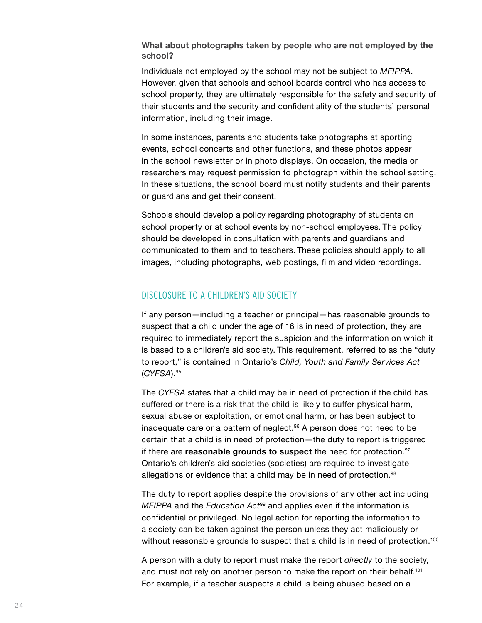#### <span id="page-27-0"></span>**What about photographs taken by people who are not employed by the school?**

Individuals not employed by the school may not be subject to *MFIPPA*. However, given that schools and school boards control who has access to school property, they are ultimately responsible for the safety and security of their students and the security and confidentiality of the students' personal information, including their image.

In some instances, parents and students take photographs at sporting events, school concerts and other functions, and these photos appear in the school newsletter or in photo displays. On occasion, the media or researchers may request permission to photograph within the school setting. In these situations, the school board must notify students and their parents or guardians and get their consent.

Schools should develop a policy regarding photography of students on school property or at school events by non-school employees. The policy should be developed in consultation with parents and guardians and communicated to them and to teachers. These policies should apply to all images, including photographs, web postings, film and video recordings.

### DISCLOSURE TO A CHILDREN'S AID SOCIETY

If any person—including a teacher or principal—has reasonable grounds to suspect that a child under the age of 16 is in need of protection, they are required to immediately report the suspicion and the information on which it is based to a children's aid society. This requirement, referred to as the "duty to report," is contained in Ontario's *Child, Youth and Family Services Act*  (*CYFSA*).95

The *CYFSA* states that a child may be in need of protection if the child has suffered or there is a risk that the child is likely to suffer physical harm, sexual abuse or exploitation, or emotional harm, or has been subject to inadequate care or a pattern of neglect.<sup>96</sup> A person does not need to be certain that a child is in need of protection—the duty to report is triggered if there are **reasonable grounds to suspect** the need for protection.97 Ontario's children's aid societies (societies) are required to investigate allegations or evidence that a child may be in need of protection.<sup>98</sup>

The duty to report applies despite the provisions of any other act including *MFIPPA* and the *Education Act*99 and applies even if the information is confidential or privileged. No legal action for reporting the information to a society can be taken against the person unless they act maliciously or without reasonable grounds to suspect that a child is in need of protection.<sup>100</sup>

A person with a duty to report must make the report *directly* to the society, and must not rely on another person to make the report on their behalf.101 For example, if a teacher suspects a child is being abused based on a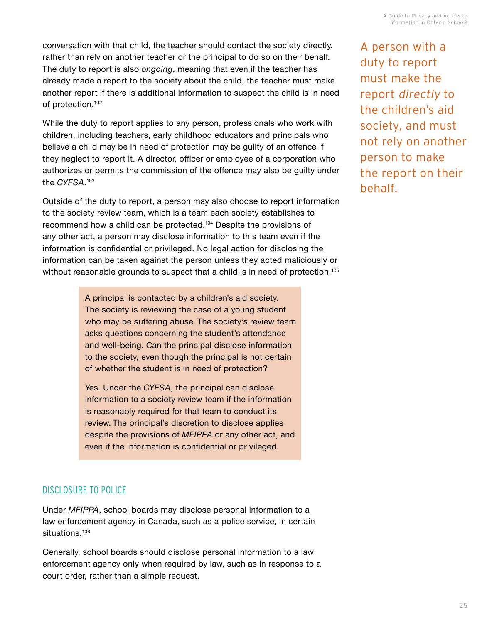<span id="page-28-0"></span>conversation with that child, the teacher should contact the society directly, rather than rely on another teacher or the principal to do so on their behalf. The duty to report is also *ongoing*, meaning that even if the teacher has already made a report to the society about the child, the teacher must make another report if there is additional information to suspect the child is in need of protection.<sup>102</sup>

While the duty to report applies to any person, professionals who work with children, including teachers, early childhood educators and principals who believe a child may be in need of protection may be guilty of an offence if they neglect to report it. A director, officer or employee of a corporation who authorizes or permits the commission of the offence may also be guilty under the *CYFSA*. 103

Outside of the duty to report, a person may also choose to report information to the society review team, which is a team each society establishes to recommend how a child can be protected.104 Despite the provisions of any other act, a person may disclose information to this team even if the information is confidential or privileged. No legal action for disclosing the information can be taken against the person unless they acted maliciously or without reasonable grounds to suspect that a child is in need of protection.<sup>105</sup>

> A principal is contacted by a children's aid society. The society is reviewing the case of a young student who may be suffering abuse. The society's review team asks questions concerning the student's attendance and well-being. Can the principal disclose information to the society, even though the principal is not certain of whether the student is in need of protection?

> Yes. Under the *CYFSA*, the principal can disclose information to a society review team if the information is reasonably required for that team to conduct its review. The principal's discretion to disclose applies despite the provisions of *MFIPPA* or any other act, and even if the information is confidential or privileged.

### DISCLOSURE TO POLICE

Under *MFIPPA*, school boards may disclose personal information to a law enforcement agency in Canada, such as a police service, in certain situations.<sup>106</sup>

Generally, school boards should disclose personal information to a law enforcement agency only when required by law, such as in response to a court order, rather than a simple request.

A person with a duty to report must make the report directly to the children's aid society, and must not rely on another person to make the report on their behalf.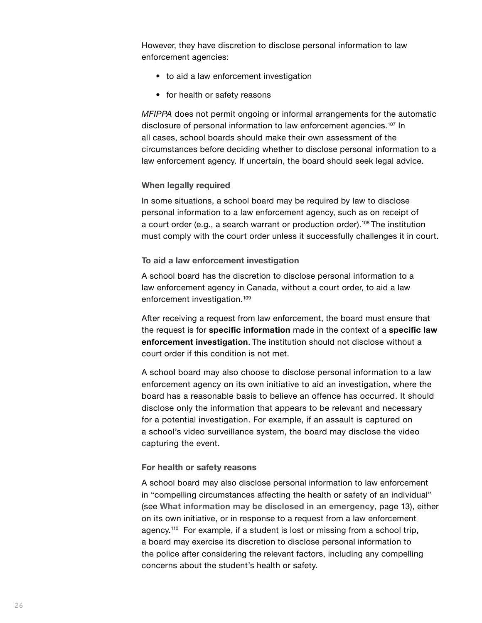However, they have discretion to disclose personal information to law enforcement agencies:

- to aid a law enforcement investigation
- for health or safety reasons

*MFIPPA* does not permit ongoing or informal arrangements for the automatic disclosure of personal information to law enforcement agencies.<sup>107</sup> In all cases, school boards should make their own assessment of the circumstances before deciding whether to disclose personal information to a law enforcement agency. If uncertain, the board should seek legal advice.

#### **When legally required**

In some situations, a school board may be required by law to disclose personal information to a law enforcement agency, such as on receipt of a court order (e.g., a search warrant or production order).<sup>108</sup> The institution must comply with the court order unless it successfully challenges it in court.

#### **To aid a law enforcement investigation**

A school board has the discretion to disclose personal information to a law enforcement agency in Canada, without a court order, to aid a law enforcement investigation.<sup>109</sup>

After receiving a request from law enforcement, the board must ensure that the request is for **specific information** made in the context of a **specific law enforcement investigation**. The institution should not disclose without a court order if this condition is not met.

A school board may also choose to disclose personal information to a law enforcement agency on its own initiative to aid an investigation, where the board has a reasonable basis to believe an offence has occurred. It should disclose only the information that appears to be relevant and necessary for a potential investigation. For example, if an assault is captured on a school's video surveillance system, the board may disclose the video capturing the event.

#### **For health or safety reasons**

A school board may also disclose personal information to law enforcement in "compelling circumstances affecting the health or safety of an individual" (see **[What information may be disclosed in an emergency](#page-16-0)**, page 13), either on its own initiative, or in response to a request from a law enforcement agency.110 For example, if a student is lost or missing from a school trip, a board may exercise its discretion to disclose personal information to the police after considering the relevant factors, including any compelling concerns about the student's health or safety.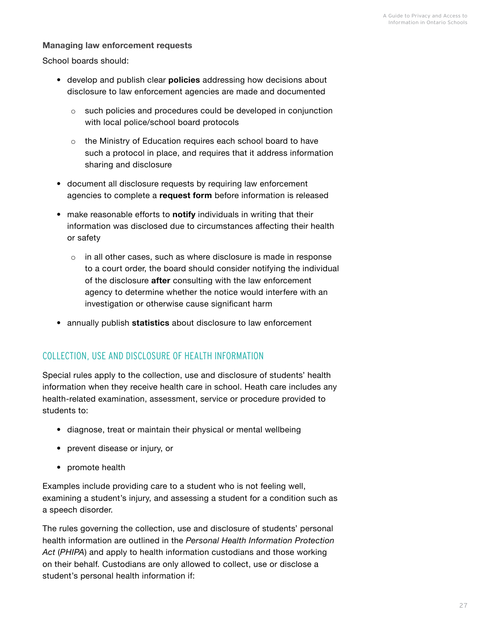#### <span id="page-30-0"></span>**Managing law enforcement requests**

School boards should:

- develop and publish clear **policies** addressing how decisions about disclosure to law enforcement agencies are made and documented
	- o such policies and procedures could be developed in conjunction with local police/school board protocols
	- o the Ministry of Education requires each school board to have such a protocol in place, and requires that it address information sharing and disclosure
- document all disclosure requests by requiring law enforcement agencies to complete a **request form** before information is released
- make reasonable efforts to **notify** individuals in writing that their information was disclosed due to circumstances affecting their health or safety
	- o in all other cases, such as where disclosure is made in response to a court order, the board should consider notifying the individual of the disclosure **after** consulting with the law enforcement agency to determine whether the notice would interfere with an investigation or otherwise cause significant harm
- annually publish **statistics** about disclosure to law enforcement

## COLLECTION, USE AND DISCLOSURE OF HEALTH INFORMATION

Special rules apply to the collection, use and disclosure of students' health information when they receive health care in school. Heath care includes any health-related examination, assessment, service or procedure provided to students to:

- diagnose, treat or maintain their physical or mental wellbeing
- prevent disease or injury, or
- promote health

Examples include providing care to a student who is not feeling well, examining a student's injury, and assessing a student for a condition such as a speech disorder.

The rules governing the collection, use and disclosure of students' personal health information are outlined in the *Personal Health Information Protection Act* (*PHIPA*) and apply to health information custodians and those working on their behalf. Custodians are only allowed to collect, use or disclose a student's personal health information if: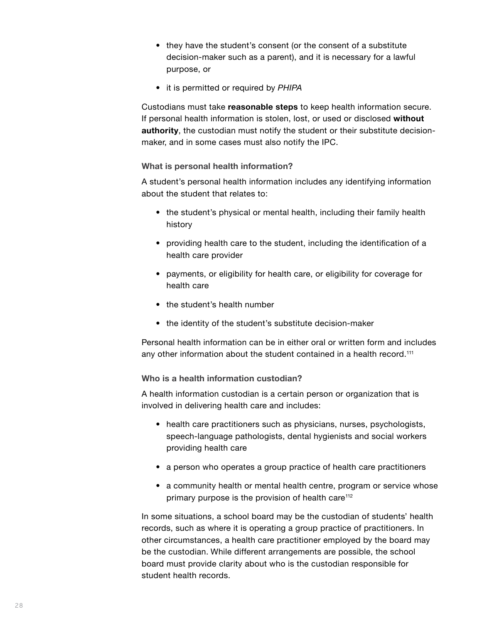- they have the student's consent (or the consent of a substitute decision-maker such as a parent), and it is necessary for a lawful purpose, or
- it is permitted or required by *PHIPA*

Custodians must take **reasonable steps** to keep health information secure. If personal health information is stolen, lost, or used or disclosed **without authority**, the custodian must notify the student or their substitute decisionmaker, and in some cases must also notify the IPC.

#### **What is personal health information?**

A student's personal health information includes any identifying information about the student that relates to:

- the student's physical or mental health, including their family health history
- providing health care to the student, including the identification of a health care provider
- payments, or eligibility for health care, or eligibility for coverage for health care
- the student's health number
- the identity of the student's substitute decision-maker

Personal health information can be in either oral or written form and includes any other information about the student contained in a health record.<sup>111</sup>

#### **Who is a health information custodian?**

A health information custodian is a certain person or organization that is involved in delivering health care and includes:

- health care practitioners such as physicians, nurses, psychologists, speech-language pathologists, dental hygienists and social workers providing health care
- a person who operates a group practice of health care practitioners
- a community health or mental health centre, program or service whose primary purpose is the provision of health care<sup>112</sup>

In some situations, a school board may be the custodian of students' health records, such as where it is operating a group practice of practitioners. In other circumstances, a health care practitioner employed by the board may be the custodian. While different arrangements are possible, the school board must provide clarity about who is the custodian responsible for student health records.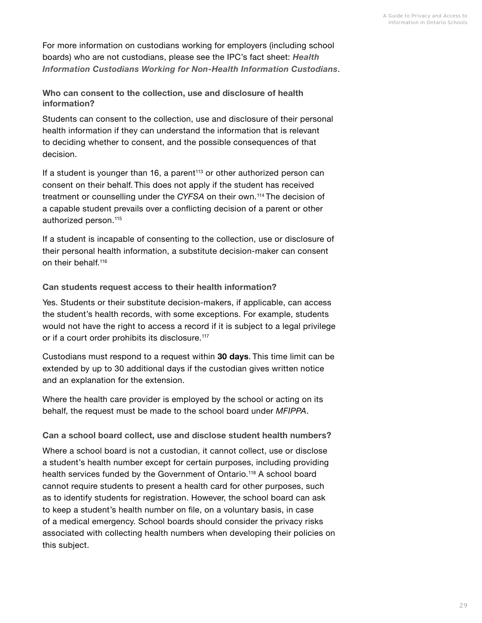For more information on custodians working for employers (including school boards) who are not custodians, please see the IPC's fact sheet: *[Health](http://www.ipc.on.ca/wp-content/uploads/Resources/fact-11-e.pdf)  [Information Custodians Working for Non-Health Information Custodians](http://www.ipc.on.ca/wp-content/uploads/Resources/fact-11-e.pdf)*.

### **Who can consent to the collection, use and disclosure of health information?**

Students can consent to the collection, use and disclosure of their personal health information if they can understand the information that is relevant to deciding whether to consent, and the possible consequences of that decision.

If a student is younger than 16, a parent<sup>113</sup> or other authorized person can consent on their behalf. This does not apply if the student has received treatment or counselling under the *CYFSA* on their own.114 The decision of a capable student prevails over a conflicting decision of a parent or other authorized person.115

If a student is incapable of consenting to the collection, use or disclosure of their personal health information, a substitute decision-maker can consent on their behalf.116

#### **Can students request access to their health information?**

Yes. Students or their substitute decision-makers, if applicable, can access the student's health records, with some exceptions. For example, students would not have the right to access a record if it is subject to a legal privilege or if a court order prohibits its disclosure.<sup>117</sup>

Custodians must respond to a request within **30 days**. This time limit can be extended by up to 30 additional days if the custodian gives written notice and an explanation for the extension.

Where the health care provider is employed by the school or acting on its behalf, the request must be made to the school board under *MFIPPA*.

#### **Can a school board collect, use and disclose student health numbers?**

Where a school board is not a custodian, it cannot collect, use or disclose a student's health number except for certain purposes, including providing health services funded by the Government of Ontario.<sup>118</sup> A school board cannot require students to present a health card for other purposes, such as to identify students for registration. However, the school board can ask to keep a student's health number on file, on a voluntary basis, in case of a medical emergency. School boards should consider the privacy risks associated with collecting health numbers when developing their policies on this subject.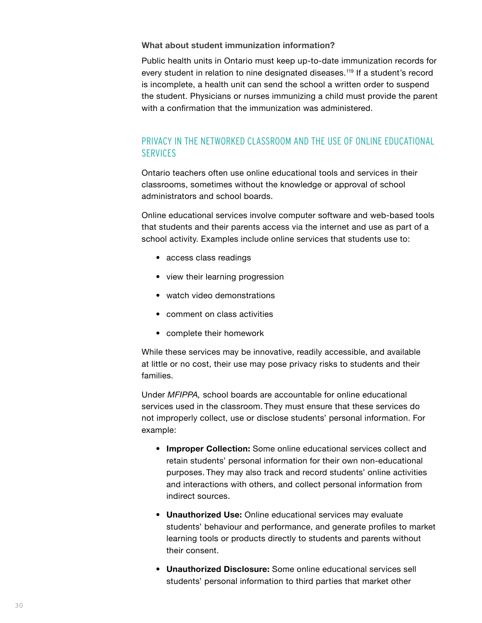#### **What about student immunization information?**

Public health units in Ontario must keep up-to-date immunization records for every student in relation to nine designated diseases.<sup>119</sup> If a student's record is incomplete, a health unit can send the school a written order to suspend the student. Physicians or nurses immunizing a child must provide the parent with a confirmation that the immunization was administered.

## PRIVACY IN THE NETWORKED CLASSROOM AND THE USE OF ONLINE EDUCATIONAL **SERVICES**

Ontario teachers often use online educational tools and services in their classrooms, sometimes without the knowledge or approval of school administrators and school boards.

Online educational services involve computer software and web-based tools that students and their parents access via the internet and use as part of a school activity. Examples include online services that students use to:

- access class readings
- view their learning progression
- watch video demonstrations
- comment on class activities
- complete their homework

While these services may be innovative, readily accessible, and available at little or no cost, their use may pose privacy risks to students and their families.

Under *MFIPPA,* school boards are accountable for online educational services used in the classroom. They must ensure that these services do not improperly collect, use or disclose students' personal information. For example:

- **• Improper Collection:** Some online educational services collect and retain students' personal information for their own non-educational purposes. They may also track and record students' online activities and interactions with others, and collect personal information from indirect sources.
- **• Unauthorized Use:** Online educational services may evaluate students' behaviour and performance, and generate profiles to market learning tools or products directly to students and parents without their consent.
- **• Unauthorized Disclosure:** Some online educational services sell students' personal information to third parties that market other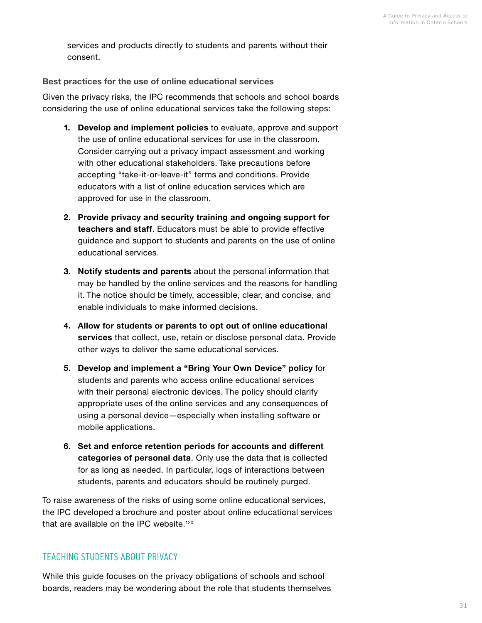services and products directly to students and parents without their consent.

#### **Best practices for the use of online educational services**

Given the privacy risks, the IPC recommends that schools and school boards considering the use of online educational services take the following steps:

- **1. Develop and implement policies** to evaluate, approve and support the use of online educational services for use in the classroom. Consider carrying out a privacy impact assessment and working with other educational stakeholders. Take precautions before accepting "take-it-or-leave-it" terms and conditions. Provide educators with a list of online education services which are approved for use in the classroom.
- **2. Provide privacy and security training and ongoing support for teachers and staff**. Educators must be able to provide effective guidance and support to students and parents on the use of online educational services.
- **3. Notify students and parents** about the personal information that may be handled by the online services and the reasons for handling it. The notice should be timely, accessible, clear, and concise, and enable individuals to make informed decisions.
- **4. Allow for students or parents to opt out of online educational services** that collect, use, retain or disclose personal data. Provide other ways to deliver the same educational services.
- **5. Develop and implement a "Bring Your Own Device" policy** for students and parents who access online educational services with their personal electronic devices. The policy should clarify appropriate uses of the online services and any consequences of using a personal device—especially when installing software or mobile applications.
- **6. Set and enforce retention periods for accounts and different categories of personal data**. Only use the data that is collected for as long as needed. In particular, logs of interactions between students, parents and educators should be routinely purged.

To raise awareness of the risks of using some online educational services, the IPC developed a brochure and poster about online educational services that are available on the IPC website.<sup>120</sup>

### TEACHING STUDENTS ABOUT PRIVACY

While this guide focuses on the privacy obligations of schools and school boards, readers may be wondering about the role that students themselves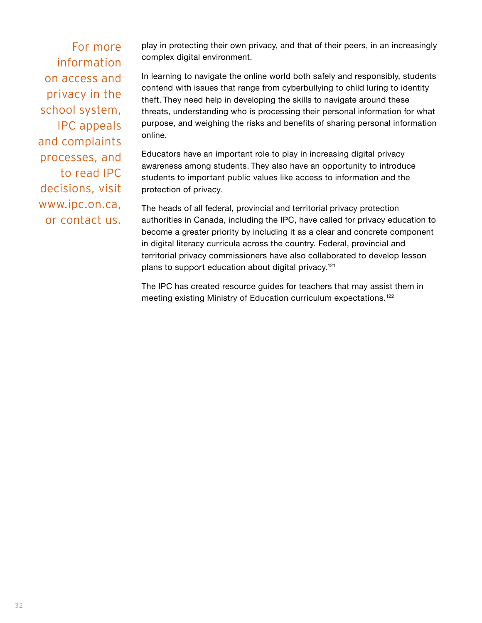For more information on access and privacy in the school system, IPC appeals and complaints processes, and to read IPC decisions, visit [www.ipc.on.ca,](file:///C:/Users/EHarris-McLeod/AppData/Local/Microsoft/Windows/INetCache/Content.Outlook/RWSIM40I/www.ipc.on.ca) or contact us. play in protecting their own privacy, and that of their peers, in an increasingly complex digital environment.

In learning to navigate the online world both safely and responsibly, students contend with issues that range from cyberbullying to child luring to identity theft. They need help in developing the skills to navigate around these threats, understanding who is processing their personal information for what purpose, and weighing the risks and benefits of sharing personal information online.

Educators have an important role to play in increasing digital privacy awareness among students. They also have an opportunity to introduce students to important public values like access to information and the protection of privacy.

The heads of all federal, provincial and territorial privacy protection authorities in Canada, including the IPC, have called for privacy education to become a greater priority by including it as a clear and concrete component in digital literacy curricula across the country. Federal, provincial and territorial privacy commissioners have also collaborated to develop lesson plans to support education about digital privacy.121

The IPC has created resource guides for teachers that may assist them in meeting existing Ministry of Education curriculum expectations.122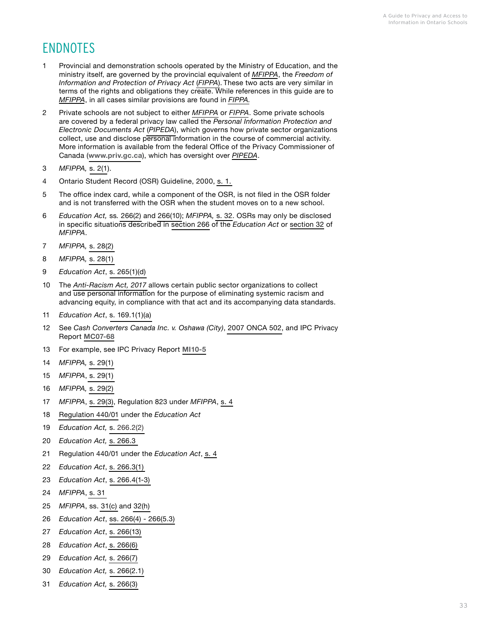## **ENDNOTES**

- Provincial and demonstration schools operated by the Ministry of Education, and the ministry itself, are governed by the provincial equivalent of *[MFIPPA](https://www.ontario.ca/laws/statute/90m56)*, the *Freedom of Information and Protection of Privacy Act* (*[FIPPA](https://www.ontario.ca/laws/statute/90f31)*). These two acts are very similar in terms of the rights and obligations they create. While references in this guide are to *[MFIPPA](https://www.ontario.ca/laws/statute/90m56)*, in all cases similar provisions are found in *[FIPPA.](https://www.ontario.ca/laws/statute/90f31)*
- Private schools are not subject to either *[MFIPPA](https://www.ontario.ca/laws/statute/90m56)* or *[FIPPA](https://www.ontario.ca/laws/statute/90f31)*. Some private schools are covered by a federal privacy law called the *Personal Information Protection and Electronic Documents Act* (*[PIPEDA](https://www.priv.gc.ca/en/privacy-topics/privacy-laws-in-canada/the-personal-information-protection-and-electronic-documents-act-pipeda/)*), which governs how private sector organizations collect, use and disclose personal information in the course of commercial activity. More information is available from the federal Office of the Privacy Commissioner of Canada (**[www.priv.gc.ca](https://www.priv.gc.ca)**), which has oversight over *[PIPEDA](https://www.priv.gc.ca/en/privacy-topics/privacy-laws-in-canada/the-personal-information-protection-and-electronic-documents-act-pipeda/)*.
- *MFIPPA,* [s. 2\(1](https://www.ontario.ca/laws/statute/90m56#BK1)).
- Ontario Student Record (OSR) Guideline, 2000, [s. 1.](http://www.edu.gov.on.ca/eng/document/curricul/osr/osr.html#1)
- The office index card, while a component of the OSR, is not filed in the OSR folder and is not transferred with the OSR when the student moves on to a new school.
- *Education Act,* ss*.* [266\(2\)](https://www.ontario.ca/laws/statute/90e02#BK441) and [266\(10\)](https://www.ontario.ca/laws/statute/90e02#BK441); *MFIPPA,* [s. 32.](https://www.ontario.ca/laws/statute/90m56#BK44) OSRs may only be disclosed in specific situations described in [section 266](https://www.ontario.ca/laws/statute/90e02#BK441) of the *Education Act* or [section 32](https://www.ontario.ca/laws/statute/90m56#BK44) of *MFIPPA*.
- *MFIPPA,* [s. 28\(2\)](https://www.ontario.ca/laws/statute/90m56#BK39)
- *MFIPPA,* [s. 28\(1\)](https://www.ontario.ca/laws/statute/90m56#BK39)
- *Education Act*, [s. 265\(1\)\(d\)](https://www.ontario.ca/laws/statute/90e02#BK439)
- The *[Anti-Racism Act, 2017](https://www.ontario.ca/laws/statute/17a15)* allows certain public sector organizations to collect and use personal information for the purpose of eliminating systemic racism and advancing equity, in compliance with that act and its accompanying data standards.
- *Education Act*, [s. 169.1\(1\)\(a\)](https://www.ontario.ca/laws/statute/90e02#BK144)
- See *Cash Converters Canada Inc. v. Oshawa (City)*, [2007 ONCA 502,](http://canlii.ca/t/1rxpx) and IPC Privacy Report **[MC07-68](https://www.ipc.on.ca/wp-content/uploads/2016/09/mc07-68-ttc_592396093750.pdf)**
- For example, see IPC Privacy Report **[MI10-5](https://decisions.ipc.on.ca/ipc-cipvp/privacy/en/item/133575/index.do)**
- *MFIPPA,* [s. 29\(1\)](https://www.ontario.ca/laws/statute/90m56#BK40)
- *MFIPPA*, [s. 29\(1\)](https://www.ontario.ca/laws/statute/90m56#BK40)
- *MFIPPA,* [s. 29\(2\)](https://www.ontario.ca/laws/statute/90m56#BK40)
- *MFIPPA*, [s. 29\(3\)](https://www.ontario.ca/laws/statute/90m56#BK40), Regulation 823 under *MFIPPA*, [s. 4](https://www.ontario.ca/laws/regulation/900823)
- [Regulation 440/01](https://www.ontario.ca/laws/regulation/010440) under the *Education Act*
- *Education Act,* [s. 266.2\(2\)](https://www.ontario.ca/laws/statute/90e02#BK444)
- *Education Act,* [s. 266.3](https://www.ontario.ca/laws/statute/90e02#BK445)
- Regulation 440/01 under the *Education Act*, [s. 4](https://www.ontario.ca/laws/regulation/010440)
- *Education Act*, [s. 266.3\(1\)](https://www.ontario.ca/laws/statute/90e02#BK445)
- *Education Act*, [s. 266.4\(1-3\)](https://www.ontario.ca/laws/statute/90e02#BK446)
- *MFIPPA*, [s. 31](https://www.ontario.ca/laws/statute/90m56#BK43)
- *MFIPPA*, ss. [31\(c\)](https://www.ontario.ca/laws/statute/90m56#BK43) and [32\(h\)](https://www.ontario.ca/laws/statute/90m56#BK44)
- *Education Act*, [ss. 266\(4\) 266\(5.3\)](https://www.ontario.ca/laws/statute/90e02#BK441)
- *Education Act*, [s. 266\(13\)](https://www.ontario.ca/laws/statute/90e02#BK441)
- *Education Act*, [s. 266\(6\)](https://www.ontario.ca/laws/statute/90e02#BK441)
- *Education Act,* [s. 266\(7\)](https://www.ontario.ca/laws/statute/90e02#BK441)
- *Education Act,* [s. 266\(2.1\)](https://www.ontario.ca/laws/statute/90e02#BK441)
- *Education Act,* [s. 266\(3\)](https://www.ontario.ca/laws/statute/90e02#BK441)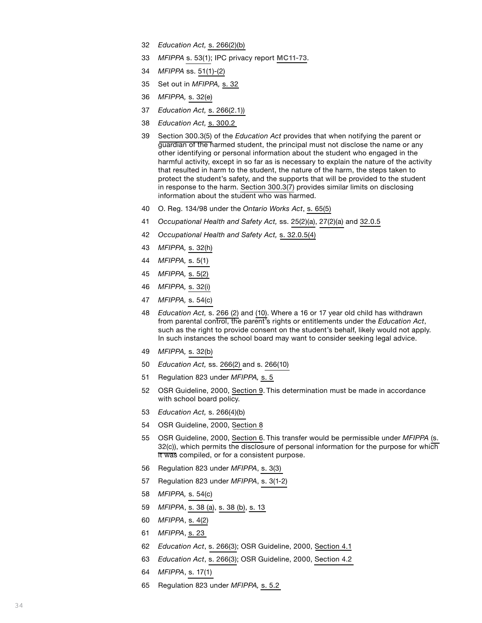- *Education Act,* [s. 266\(2\)\(b\)](https://www.ontario.ca/laws/statute/90e02#BK441)
- *MFIPPA* [s. 53\(1\);](https://www.ontario.ca/laws/statute/90m56#BK70) IPC privacy report **[MC11-73](https://decisions.ipc.on.ca/ipc-cipvp/privacy/en/item/168835/index.do)**.
- *MFIPPA* ss. [51\(1\)-\(2\)](https://www.ontario.ca/laws/statute/90m56#BK67)
- Set out in *MFIPPA,* [s. 32](https://www.ontario.ca/laws/statute/90m56#BK44)
- *MFIPPA,* [s. 32\(e\)](https://www.ontario.ca/laws/statute/90m56#BK44)
- *Education Act,* [s. 266\(2.1\)\)](https://www.ontario.ca/laws/statute/90e02#BK441)
- *Education Act,* [s. 300.2](https://www.ontario.ca/laws/statute/90e02#BK552)
- [Section 300.3\(5\)](https://www.ontario.ca/laws/statute/90e02#BK553) of the *Education Act* provides that when notifying the parent or guardian of the harmed student, the principal must not disclose the name or any other identifying or personal information about the student who engaged in the harmful activity, except in so far as is necessary to explain the nature of the activity that resulted in harm to the student, the nature of the harm, the steps taken to protect the student's safety, and the supports that will be provided to the student in response to the harm. [Section 300.3\(7\)](https://www.ontario.ca/laws/statute/90e02#BK553) provides similar limits on disclosing information about the student who was harmed.
- O. Reg. 134/98 under the *Ontario Works Act*, [s. 65\(5\)](https://www.ontario.ca/laws/regulation/980134#BK82)
- *Occupational Health and Safety Act,* ss. [25\(2\)\(a\),](https://www.ontario.ca/laws/statute/90o01#BK47) [27\(2\)\(a\)](https://www.ontario.ca/laws/statute/90o01#BK50) and [32.0.5](https://www.ontario.ca/laws/statute/90o01#BK61)
- *Occupational Health and Safety Act,* s. [32.0.5\(4\)](https://www.ontario.ca/laws/statute/90o01#BK61)
- *MFIPPA,* [s. 32\(h\)](https://www.ontario.ca/laws/statute/90m56#BK44)
- *MFIPPA,* [s. 5\(1\)](https://www.ontario.ca/laws/statute/90m56#BK7)
- *MFIPPA,* [s. 5\(2\)](https://www.ontario.ca/laws/statute/90m56#BK7)
- *MFIPPA,* [s. 32\(i\)](https://www.ontario.ca/laws/statute/90m56#BK44)
- *MFIPPA,* [s. 54\(c\)](https://www.ontario.ca/laws/statute/90m56#BK71)
- *Education Act,* s. [266 \(2\)](https://www.ontario.ca/laws/statute/90e02#BK441) and [\(10\)](https://www.ontario.ca/laws/statute/90e02#BK441). Where a 16 or 17 year old child has withdrawn from parental control, the parent's rights or entitlements under the *Education Act*, such as the right to provide consent on the student's behalf, likely would not apply. In such instances the school board may want to consider seeking legal advice.
- *MFIPPA,* [s. 32\(b\)](https://www.ontario.ca/laws/statute/90m56#BK44)
- *Education Act,* ss. [266\(2\)](https://www.ontario.ca/laws/statute/90e02#BK441) and s. [266\(10\)](https://www.ontario.ca/laws/statute/90e02#BK441)
- Regulation 823 under *MFIPPA,* [s. 5](https://www.ontario.ca/laws/regulation/900823)
- OSR Guideline, 2000, [Section 9](http://www.edu.gov.on.ca/eng/document/curricul/osr/osr.html#9). This determination must be made in accordance with school board policy.
- *Education Act,* [s. 266\(4\)\(b\)](https://www.ontario.ca/laws/statute/90e02#BK441)
- OSR Guideline, 2000, [Section 8](http://www.edu.gov.on.ca/eng/document/curricul/osr/osr.html#8)
- OSR Guideline, 2000, [Section 6](http://www.edu.gov.on.ca/eng/document/curricul/osr/osr.html#6). This transfer would be permissible under *MFIPPA* [\(s.](https://www.ontario.ca/laws/statute/90m56#BK44)  [32\(c\)\),](https://www.ontario.ca/laws/statute/90m56#BK44) which permits the disclosure of personal information for the purpose for which it was compiled, or for a consistent purpose.
- Regulation 823 under *MFIPPA*, [s. 3\(3\)](https://www.ontario.ca/laws/regulation/900823)
- Regulation 823 under *MFIPPA*, [s. 3\(1-2\)](https://www.ontario.ca/laws/regulation/900823)
- *MFIPPA,* [s. 54\(c\)](https://www.ontario.ca/laws/statute/90m56#BK71)
- *MFIPPA*, [s. 38 \(a\)](https://www.ontario.ca/laws/statute/90m56#BK52), [s. 38 \(b\),](https://www.ontario.ca/laws/statute/90m56#BK52) [s. 13](https://www.ontario.ca/laws/statute/90m56#BK19)
- *MFIPPA*, [s. 4\(2\)](https://www.ontario.ca/laws/statute/90m56#BK5)
- *MFIPPA*, [s. 23](https://www.ontario.ca/laws/statute/90m56#BK31)
- *Education Act*, [s. 266\(3\);](https://www.ontario.ca/laws/statute/90e02#BK441) OSR Guideline, 2000, [Section 4.1](http://www.edu.gov.on.ca/eng/document/curricul/osr/osr.html#4)
- *Education Act*, [s. 266\(3\);](https://www.ontario.ca/laws/statute/90e02#BK441) OSR Guideline, 2000, [Section 4.2](http://www.edu.gov.on.ca/eng/document/curricul/osr/osr.html#4)
- *MFIPPA*, [s. 17\(1\)](https://www.ontario.ca/laws/statute/90m56#BK24)
- Regulation 823 under *MFIPPA,* [s. 5.2](https://www.ontario.ca/laws/regulation/900823)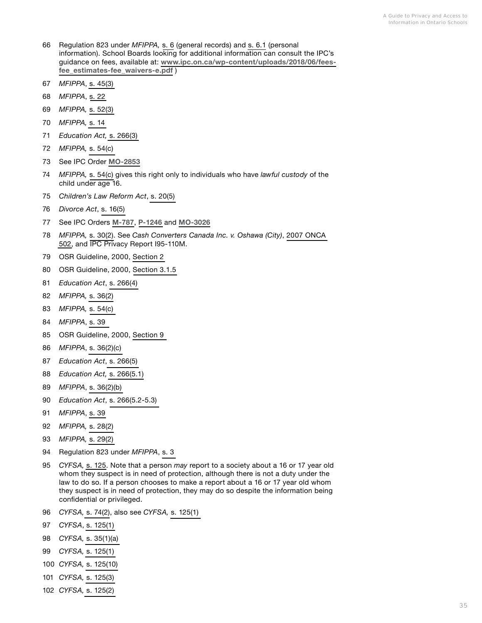- Regulation 823 under *MFIPPA,* [s. 6](https://www.ontario.ca/laws/regulation/900823) (general records) and [s. 6.1](https://www.ontario.ca/laws/regulation/900823) (personal information). School Boards looking for additional information can consult the IPC's guidance on fees, available at: **[www.ipc.on.ca/wp-content/uploads/2018/06/fees](https://www.ipc.on.ca/wp-content/uploads/2018/06/fees-fee_estimates-fee_waivers-e.pdf)[fee\\_estimates-fee\\_waivers-e.pdf](https://www.ipc.on.ca/wp-content/uploads/2018/06/fees-fee_estimates-fee_waivers-e.pdf)** )
- *MFIPPA*, [s. 45\(3\)](https://www.ontario.ca/laws/statute/90m56#BK61)
- *MFIPPA*, [s. 22](https://www.ontario.ca/laws/statute/90m56#BK30)
- *MFIPPA,* [s. 52\(3\)](https://www.ontario.ca/laws/statute/90m56#BK68)
- *MFIPPA,* [s. 14](https://www.ontario.ca/laws/statute/90m56#BK20)
- *Education Act,* [s. 266\(3\)](https://www.ontario.ca/laws/statute/90e02#BK441)
- *MFIPPA,* [s. 54\(c\)](https://www.ontario.ca/laws/statute/90m56#BK71)
- See IPC Order **[MO-2853](https://decisions.ipc.on.ca/ipc-cipvp/orders/en/item/134020/index.do?r=AAAAAQAHbW8tMjg1MwE)**
- *MFIPPA,* [s. 54\(c\)](https://www.ontario.ca/laws/statute/90m56#BK71) gives this right only to individuals who have *lawful custody* of the child under age 16.
- *Children's Law Reform Act*, [s. 20\(5\)](https://www.ontario.ca/laws/statute/90c12#BK33)
- *Divorce Act*, [s. 16\(5\)](https://laws-lois.justice.gc.ca/eng/acts/d-3.4/page-4.html#h-10)
- See IPC Orders **[M-787](https://decisions.ipc.on.ca/ipc-cipvp/orders/en/item/129974/index.do)**, **[P-1246](https://decisions.ipc.on.ca/ipc-cipvp/orders/en/item/129992/index.do)** and **[MO-3026](https://decisions.ipc.on.ca/ipc-cipvp/orders/en/item/134345/index.do)**
- *MFIPPA,* [s. 30\(2\).](https://www.ontario.ca/laws/statute/90m56#BK41) See *Cash Converters Canada Inc. v. Oshawa (City)*, [2007 ONCA](https://www.canlii.org/en/on/onca/doc/2007/2007onca502/2007onca502.html)  [502,](https://www.canlii.org/en/on/onca/doc/2007/2007onca502/2007onca502.html) and IPC Privacy Report I95-110M.
- OSR Guideline, 2000, [Section 2](http://www.edu.gov.on.ca/eng/document/curricul/osr/osr.html#2)
- OSR Guideline, 2000, [Section 3.1.5](http://www.edu.gov.on.ca/eng/document/curricul/osr/osr.html#3)
- *Education Act*, [s. 266\(4\)](https://www.ontario.ca/laws/statute/90e02#BK441)
- *MFIPPA,* [s. 36\(2\)](https://www.ontario.ca/laws/statute/90m56#BK50)
- *MFIPPA,* [s. 54\(c\)](https://www.ontario.ca/laws/statute/90m56#BK71)
- *MFIPPA*, [s. 39](https://www.ontario.ca/laws/statute/90m56#BK54)
- OSR Guideline, 2000, [Section 9](http://www.edu.gov.on.ca/eng/document/curricul/osr/osr.html#9)
- *MFIPPA*, [s. 36\(2\)\(c\)](https://www.ontario.ca/laws/statute/90m56#BK50)
- *Education Act*[, s. 266\(5\)](https://www.ontario.ca/laws/statute/90e02#BK441)
- *Education Act,* [s. 266\(5.1\)](https://www.ontario.ca/laws/statute/90e02#BK441)
- *MFIPPA*, [s. 36\(2\)\(b\)](https://www.ontario.ca/laws/statute/90m56#BK50)
- *Education Act*, [s. 266\(5.2-5.3\)](https://www.ontario.ca/laws/statute/90e02#BK441)
- *MFIPPA*, [s. 39](https://www.ontario.ca/laws/statute/90m56#BK54)
- *MFIPPA,* [s. 28\(2\)](https://www.ontario.ca/laws/statute/90m56#BK39)
- *MFIPPA,* [s. 29\(2\)](https://www.ontario.ca/laws/statute/90m56#BK40)
- Regulation 823 under *MFIPPA*, [s. 3](https://www.ontario.ca/laws/regulation/900823)
- *CYFSA,* [s. 125.](https://www.ontario.ca/laws/statute/17c14#BK168) Note that a person *may* report to a society about a 16 or 17 year old whom they suspect is in need of protection, although there is not a duty under the law to do so. If a person chooses to make a report about a 16 or 17 year old whom they suspect is in need of protection, they may do so despite the information being confidential or privileged.
- *CYFSA,* [s. 74\(2\),](https://www.ontario.ca/laws/statute/17c14#BK101) also see *CYFSA,* [s. 125\(1\)](https://www.ontario.ca/laws/statute/17c14#BK168)
- *CYFSA*, [s. 125\(1\)](https://www.ontario.ca/laws/statute/17c14#BK168)
- *CYFSA,* [s. 35\(1\)\(a\)](https://www.ontario.ca/laws/statute/17c14#BK49)
- *CYFSA,* [s. 125\(1\)](https://www.ontario.ca/laws/statute/17c14#BK168)
- *CYFSA,* [s. 125\(10\)](https://www.ontario.ca/laws/statute/17c14#BK168)
- *CYFSA,* [s. 125\(3\)](https://www.ontario.ca/laws/statute/17c14#BK168)
- *CYFSA,* [s. 125\(2\)](https://www.ontario.ca/laws/statute/17c14#BK168)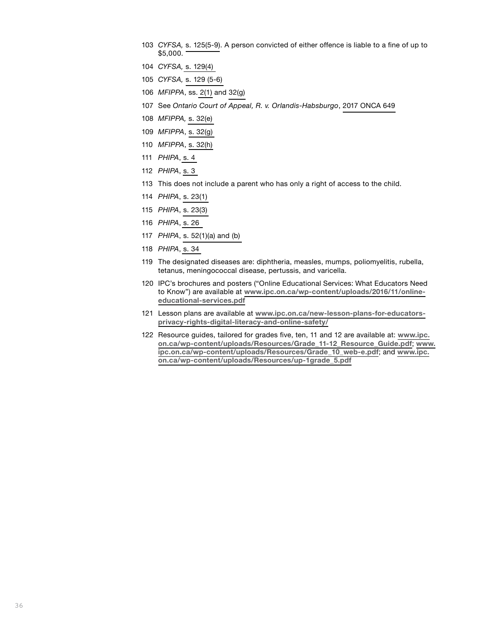- *CYFSA,* [s. 125\(5-9\)](https://www.ontario.ca/laws/statute/17c14#BK168). A person convicted of either offence is liable to a fine of up to \$5,000.
- *CYFSA,* [s. 129\(4\)](https://www.ontario.ca/laws/statute/17c14#BK173)
- *CYFSA,* [s. 129 \(5-6\)](https://www.ontario.ca/laws/statute/17c14#BK173)
- *MFIPPA*, ss. [2\(1\)](https://www.ontario.ca/laws/statute/90m56#BK1) and [32\(g\)](https://www.ontario.ca/laws/statute/90m56#BK44)
- See *Ontario Court of Appeal, R. v. Orlandis-Habsburgo*, [2017 ONCA 649](http://canlii.ca/t/h59h9)
- *MFIPPA,* [s. 32\(e\)](https://www.ontario.ca/laws/statute/90m56#BK44)
- *MFIPPA*, [s. 32\(g\)](https://www.ontario.ca/laws/statute/90m56#BK44)
- *MFIPPA*, [s. 32\(h\)](https://www.ontario.ca/laws/statute/90m56#BK44)
- *PHIPA*, [s. 4](https://www.ontario.ca/laws/statute/04p03#BK5)
- *PHIPA*, [s. 3](https://www.ontario.ca/laws/statute/04p03#BK4)
- This does not include a parent who has only a right of access to the child.
- *PHIPA*, [s. 23\(1\)](https://www.ontario.ca/laws/statute/04p03#BK34)
- *PHIPA*, [s. 23\(3\)](https://www.ontario.ca/laws/statute/04p03#BK34)
- *PHIPA*, [s. 26](https://www.ontario.ca/laws/statute/04p03#BK37)
- *PHIPA*, [s. 52\(1\)\(a\) and \(b\)](https://www.ontario.ca/laws/statute/04p03#BK70)
- *PHIPA*, [s. 34](https://www.ontario.ca/laws/statute/04p03#BK47)
- The designated diseases are: diphtheria, measles, mumps, poliomyelitis, rubella, tetanus, meningococcal disease, pertussis, and varicella.
- IPC's brochures and posters ("Online Educational Services: What Educators Need to Know") are available at **[www.ipc.on.ca/wp-content/uploads/2016/11/online](http://www.ipc.on.ca/wp-content/uploads/2016/11/online-educational-services.pdf)[educational-services.pdf](http://www.ipc.on.ca/wp-content/uploads/2016/11/online-educational-services.pdf)**
- Lesson plans are available at **[www.ipc.on.ca/new-lesson-plans-for-educators](http://www.ipc.on.ca/new-lesson-plans-for-educators-privacy-rights-digital-literacy-and-online-safety/)[privacy-rights-digital-literacy-and-online-safety/](http://www.ipc.on.ca/new-lesson-plans-for-educators-privacy-rights-digital-literacy-and-online-safety/)**
- Resource guides, tailored for grades five, ten, 11 and 12 are available at: **[www.ipc.](http://www.ipc.on.ca/wp-content/uploads/Resources/Grade_11-12_Resource_Guide.pdf) [on.ca/wp-content/uploads/Resources/Grade\\_11-12\\_Resource\\_Guide.pdf](http://www.ipc.on.ca/wp-content/uploads/Resources/Grade_11-12_Resource_Guide.pdf)**; **[www.](http://www.ipc.on.ca/wp-content/uploads/Resources/Grade_10_web-e.pdf) [ipc.on.ca/wp-content/uploads/Resources/Grade\\_10\\_web-e.pdf](http://www.ipc.on.ca/wp-content/uploads/Resources/Grade_10_web-e.pdf)**; and **[www.ipc.](http://www.ipc.on.ca/wp-content/uploads/Resources/up-1grade_5.pdf) [on.ca/wp-content/uploads/Resources/up-1grade\\_5.pdf](http://www.ipc.on.ca/wp-content/uploads/Resources/up-1grade_5.pdf)**